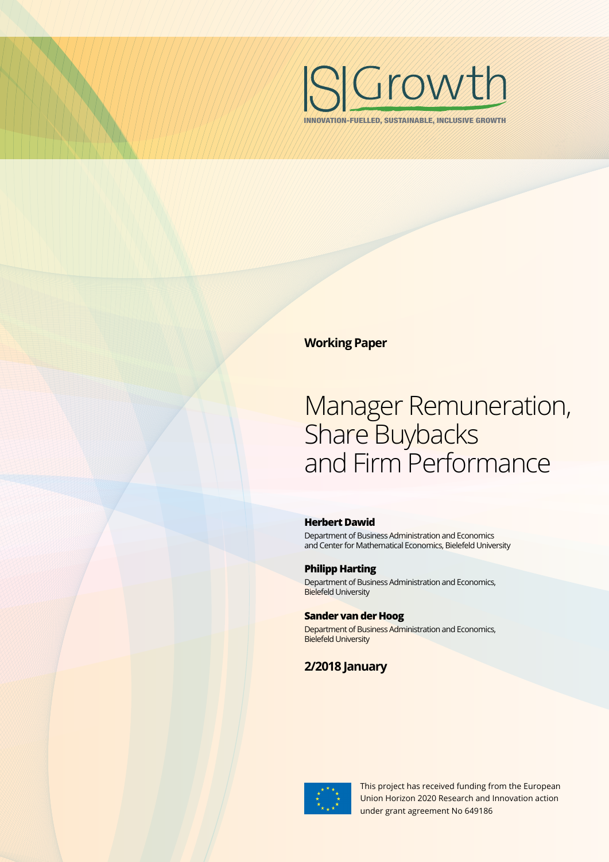

INNOVATION-FUELLED, SUSTAINABLE, INCLUSIVE GROWTH

**Working Paper**

# Manager Remuneration, Share Buybacks and Firm Performance

#### **Herbert Dawid**

Department of Business Administration and Economics and Center for Mathematical Economics, Bielefeld University

#### **Philipp Harting**

Department of Business Administration and Economics, Bielefeld University

#### **Sander van der Hoog**

Department of Business Administration and Economics, Bielefeld University

## **2/2018 January**



This project has received funding from the European Union Horizon 2020 Research and Innovation action under grant agreement No 649186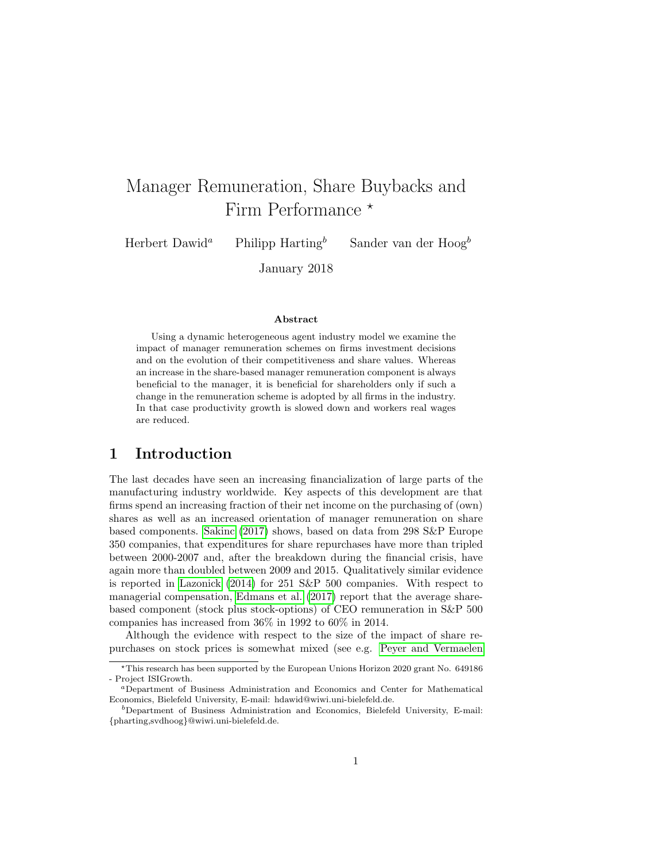## Manager Remuneration, Share Buybacks and Firm Performance  $*$

Herbert Dawid<sup>a</sup> Philipp Harting<sup>b</sup> Sander van der Hoog<sup>b</sup>

January 2018

#### Abstract

Using a dynamic heterogeneous agent industry model we examine the impact of manager remuneration schemes on firms investment decisions and on the evolution of their competitiveness and share values. Whereas an increase in the share-based manager remuneration component is always beneficial to the manager, it is beneficial for shareholders only if such a change in the remuneration scheme is adopted by all firms in the industry. In that case productivity growth is slowed down and workers real wages are reduced.

## 1 Introduction

The last decades have seen an increasing financialization of large parts of the manufacturing industry worldwide. Key aspects of this development are that firms spend an increasing fraction of their net income on the purchasing of (own) shares as well as an increased orientation of manager remuneration on share based components. [Sakinc](#page-36-0) [\(2017\)](#page-36-0) shows, based on data from 298 S&P Europe 350 companies, that expenditures for share repurchases have more than tripled between 2000-2007 and, after the breakdown during the financial crisis, have again more than doubled between 2009 and 2015. Qualitatively similar evidence is reported in [Lazonick](#page-36-1) [\(2014\)](#page-36-1) for 251 S&P 500 companies. With respect to managerial compensation, [Edmans et al.](#page-36-2) [\(2017\)](#page-36-2) report that the average sharebased component (stock plus stock-options) of CEO remuneration in S&P 500 companies has increased from 36% in 1992 to 60% in 2014.

Although the evidence with respect to the size of the impact of share repurchases on stock prices is somewhat mixed (see e.g. [Peyer and Vermaelen](#page-36-3)

<sup>?</sup>This research has been supported by the European Unions Horizon 2020 grant No. 649186 - Project ISIGrowth.

<sup>a</sup>Department of Business Administration and Economics and Center for Mathematical Economics, Bielefeld University, E-mail: hdawid@wiwi.uni-bielefeld.de.

 $b$ Department of Business Administration and Economics, Bielefeld University, E-mail: {pharting,svdhoog}@wiwi.uni-bielefeld.de.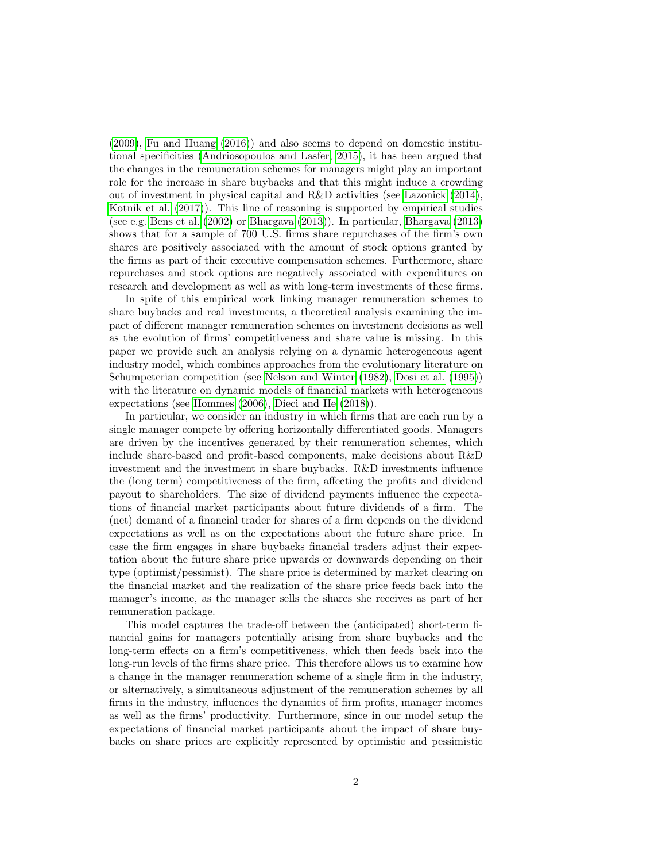[\(2009\)](#page-36-3), [Fu and Huang](#page-36-4) [\(2016\)](#page-36-4)) and also seems to depend on domestic institutional specificities [\(Andriosopoulos and Lasfer, 2015\)](#page-35-0), it has been argued that the changes in the remuneration schemes for managers might play an important role for the increase in share buybacks and that this might induce a crowding out of investment in physical capital and R&D activities (see [Lazonick](#page-36-1) [\(2014\)](#page-36-1), [Kotnik et al.](#page-36-5) [\(2017\)](#page-36-5)). This line of reasoning is supported by empirical studies (see e.g. [Bens et al.](#page-35-1) [\(2002\)](#page-35-1) or [Bhargava](#page-35-2) [\(2013\)](#page-35-2)). In particular, [Bhargava](#page-35-2) [\(2013\)](#page-35-2) shows that for a sample of 700 U.S. firms share repurchases of the firm's own shares are positively associated with the amount of stock options granted by the firms as part of their executive compensation schemes. Furthermore, share repurchases and stock options are negatively associated with expenditures on research and development as well as with long-term investments of these firms.

In spite of this empirical work linking manager remuneration schemes to share buybacks and real investments, a theoretical analysis examining the impact of different manager remuneration schemes on investment decisions as well as the evolution of firms' competitiveness and share value is missing. In this paper we provide such an analysis relying on a dynamic heterogeneous agent industry model, which combines approaches from the evolutionary literature on Schumpeterian competition (see [Nelson and Winter](#page-36-6) [\(1982\)](#page-36-6), [Dosi et al.](#page-36-7) [\(1995\)](#page-36-7)) with the literature on dynamic models of financial markets with heterogeneous expectations (see [Hommes](#page-36-8) [\(2006\)](#page-36-8), [Dieci and He](#page-35-3) [\(2018\)](#page-35-3)).

In particular, we consider an industry in which firms that are each run by a single manager compete by offering horizontally differentiated goods. Managers are driven by the incentives generated by their remuneration schemes, which include share-based and profit-based components, make decisions about R&D investment and the investment in share buybacks. R&D investments influence the (long term) competitiveness of the firm, affecting the profits and dividend payout to shareholders. The size of dividend payments influence the expectations of financial market participants about future dividends of a firm. The (net) demand of a financial trader for shares of a firm depends on the dividend expectations as well as on the expectations about the future share price. In case the firm engages in share buybacks financial traders adjust their expectation about the future share price upwards or downwards depending on their type (optimist/pessimist). The share price is determined by market clearing on the financial market and the realization of the share price feeds back into the manager's income, as the manager sells the shares she receives as part of her remuneration package.

This model captures the trade-off between the (anticipated) short-term financial gains for managers potentially arising from share buybacks and the long-term effects on a firm's competitiveness, which then feeds back into the long-run levels of the firms share price. This therefore allows us to examine how a change in the manager remuneration scheme of a single firm in the industry, or alternatively, a simultaneous adjustment of the remuneration schemes by all firms in the industry, influences the dynamics of firm profits, manager incomes as well as the firms' productivity. Furthermore, since in our model setup the expectations of financial market participants about the impact of share buybacks on share prices are explicitly represented by optimistic and pessimistic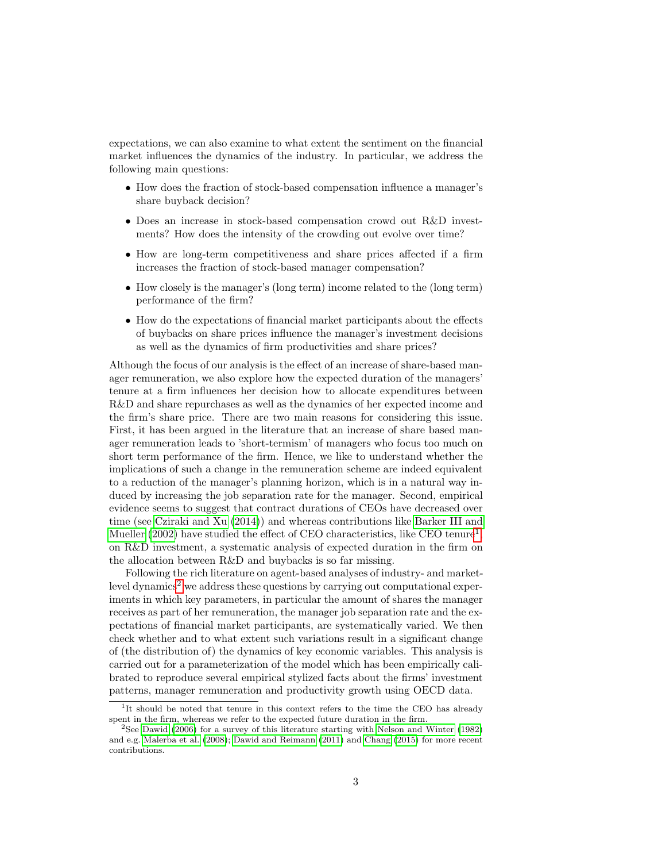expectations, we can also examine to what extent the sentiment on the financial market influences the dynamics of the industry. In particular, we address the following main questions:

- How does the fraction of stock-based compensation influence a manager's share buyback decision?
- Does an increase in stock-based compensation crowd out R&D investments? How does the intensity of the crowding out evolve over time?
- How are long-term competitiveness and share prices affected if a firm increases the fraction of stock-based manager compensation?
- How closely is the manager's (long term) income related to the (long term) performance of the firm?
- How do the expectations of financial market participants about the effects of buybacks on share prices influence the manager's investment decisions as well as the dynamics of firm productivities and share prices?

Although the focus of our analysis is the effect of an increase of share-based manager remuneration, we also explore how the expected duration of the managers' tenure at a firm influences her decision how to allocate expenditures between R&D and share repurchases as well as the dynamics of her expected income and the firm's share price. There are two main reasons for considering this issue. First, it has been argued in the literature that an increase of share based manager remuneration leads to 'short-termism' of managers who focus too much on short term performance of the firm. Hence, we like to understand whether the implications of such a change in the remuneration scheme are indeed equivalent to a reduction of the manager's planning horizon, which is in a natural way induced by increasing the job separation rate for the manager. Second, empirical evidence seems to suggest that contract durations of CEOs have decreased over time (see [Cziraki and Xu](#page-35-4) [\(2014\)](#page-35-4)) and whereas contributions like [Barker III and](#page-35-5) [Mueller](#page-35-5) [\(2002\)](#page-35-5) have studied the effect of CEO characteristics, like CEO tenure<sup>[1](#page-3-0)</sup>, on R&D investment, a systematic analysis of expected duration in the firm on the allocation between R&D and buybacks is so far missing.

Following the rich literature on agent-based analyses of industry- and market- $level dynamics<sup>2</sup>$  $level dynamics<sup>2</sup>$  $level dynamics<sup>2</sup>$  we address these questions by carrying out computational experiments in which key parameters, in particular the amount of shares the manager receives as part of her remuneration, the manager job separation rate and the expectations of financial market participants, are systematically varied. We then check whether and to what extent such variations result in a significant change of (the distribution of) the dynamics of key economic variables. This analysis is carried out for a parameterization of the model which has been empirically calibrated to reproduce several empirical stylized facts about the firms' investment patterns, manager remuneration and productivity growth using OECD data.

<span id="page-3-0"></span><sup>&</sup>lt;sup>1</sup>It should be noted that tenure in this context refers to the time the CEO has already spent in the firm, whereas we refer to the expected future duration in the firm.

<span id="page-3-1"></span><sup>2</sup>See [Dawid](#page-35-6) [\(2006\)](#page-35-6) for a survey of this literature starting with [Nelson and Winter](#page-36-6) [\(1982\)](#page-36-6) and e.g. [Malerba et al.](#page-36-9) [\(2008\)](#page-36-9); [Dawid and Reimann](#page-35-7) [\(2011\)](#page-35-7) and [Chang](#page-35-8) [\(2015\)](#page-35-8) for more recent contributions.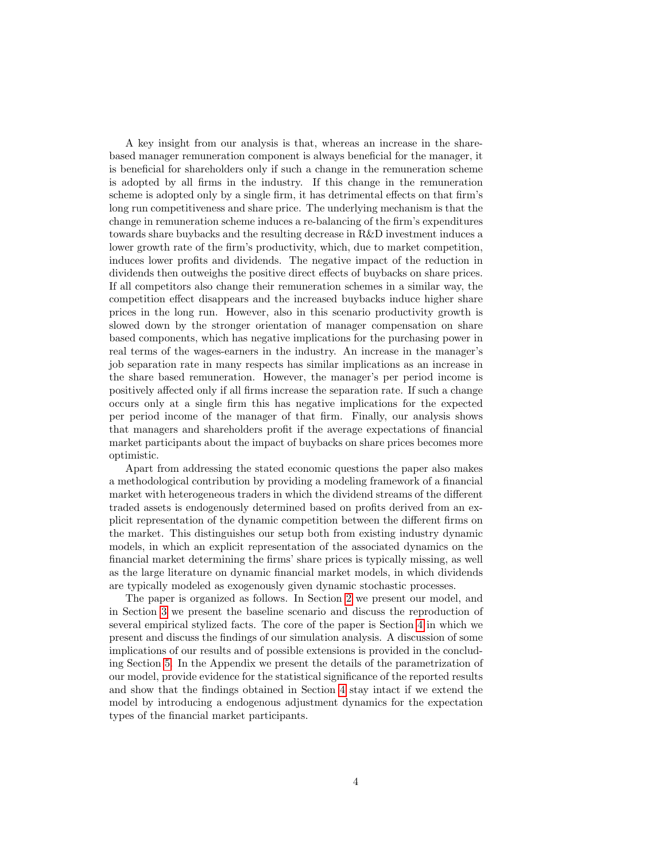A key insight from our analysis is that, whereas an increase in the sharebased manager remuneration component is always beneficial for the manager, it is beneficial for shareholders only if such a change in the remuneration scheme is adopted by all firms in the industry. If this change in the remuneration scheme is adopted only by a single firm, it has detrimental effects on that firm's long run competitiveness and share price. The underlying mechanism is that the change in remuneration scheme induces a re-balancing of the firm's expenditures towards share buybacks and the resulting decrease in R&D investment induces a lower growth rate of the firm's productivity, which, due to market competition, induces lower profits and dividends. The negative impact of the reduction in dividends then outweighs the positive direct effects of buybacks on share prices. If all competitors also change their remuneration schemes in a similar way, the competition effect disappears and the increased buybacks induce higher share prices in the long run. However, also in this scenario productivity growth is slowed down by the stronger orientation of manager compensation on share based components, which has negative implications for the purchasing power in real terms of the wages-earners in the industry. An increase in the manager's job separation rate in many respects has similar implications as an increase in the share based remuneration. However, the manager's per period income is positively affected only if all firms increase the separation rate. If such a change occurs only at a single firm this has negative implications for the expected per period income of the manager of that firm. Finally, our analysis shows that managers and shareholders profit if the average expectations of financial market participants about the impact of buybacks on share prices becomes more optimistic.

Apart from addressing the stated economic questions the paper also makes a methodological contribution by providing a modeling framework of a financial market with heterogeneous traders in which the dividend streams of the different traded assets is endogenously determined based on profits derived from an explicit representation of the dynamic competition between the different firms on the market. This distinguishes our setup both from existing industry dynamic models, in which an explicit representation of the associated dynamics on the financial market determining the firms' share prices is typically missing, as well as the large literature on dynamic financial market models, in which dividends are typically modeled as exogenously given dynamic stochastic processes.

The paper is organized as follows. In Section [2](#page-5-0) we present our model, and in Section [3](#page-14-0) we present the baseline scenario and discuss the reproduction of several empirical stylized facts. The core of the paper is Section [4](#page-17-0) in which we present and discuss the findings of our simulation analysis. A discussion of some implications of our results and of possible extensions is provided in the concluding Section [5.](#page-27-0) In the Appendix we present the details of the parametrization of our model, provide evidence for the statistical significance of the reported results and show that the findings obtained in Section [4](#page-17-0) stay intact if we extend the model by introducing a endogenous adjustment dynamics for the expectation types of the financial market participants.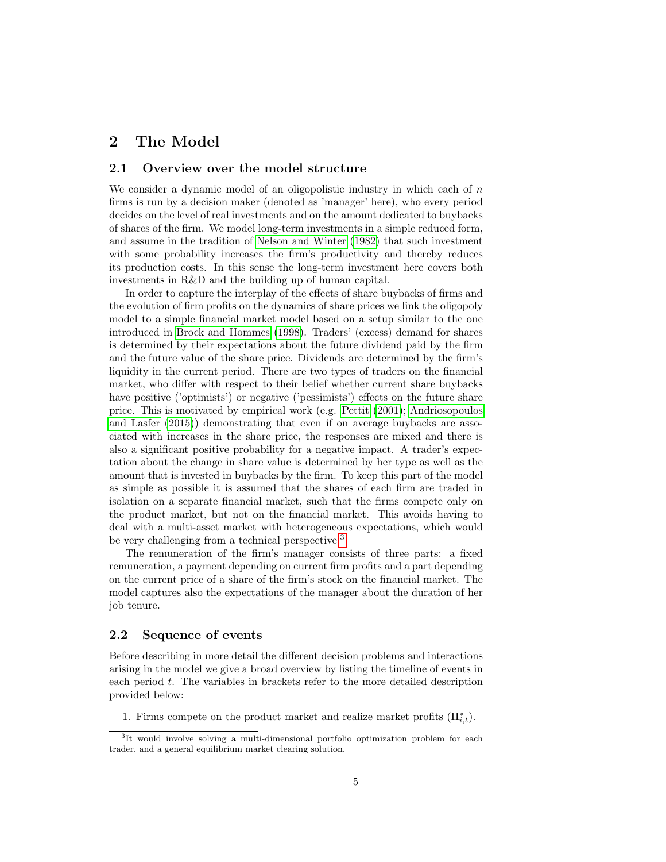## <span id="page-5-0"></span>2 The Model

#### 2.1 Overview over the model structure

We consider a dynamic model of an oligopolistic industry in which each of  $n$ firms is run by a decision maker (denoted as 'manager' here), who every period decides on the level of real investments and on the amount dedicated to buybacks of shares of the firm. We model long-term investments in a simple reduced form, and assume in the tradition of [Nelson and Winter](#page-36-6) [\(1982\)](#page-36-6) that such investment with some probability increases the firm's productivity and thereby reduces its production costs. In this sense the long-term investment here covers both investments in R&D and the building up of human capital.

In order to capture the interplay of the effects of share buybacks of firms and the evolution of firm profits on the dynamics of share prices we link the oligopoly model to a simple financial market model based on a setup similar to the one introduced in [Brock and Hommes](#page-35-9) [\(1998\)](#page-35-9). Traders' (excess) demand for shares is determined by their expectations about the future dividend paid by the firm and the future value of the share price. Dividends are determined by the firm's liquidity in the current period. There are two types of traders on the financial market, who differ with respect to their belief whether current share buybacks have positive ('optimists') or negative ('pessimists') effects on the future share price. This is motivated by empirical work (e.g. [Pettit](#page-36-10) [\(2001\)](#page-36-10); [Andriosopoulos](#page-35-0) [and Lasfer](#page-35-0) [\(2015\)](#page-35-0)) demonstrating that even if on average buybacks are associated with increases in the share price, the responses are mixed and there is also a significant positive probability for a negative impact. A trader's expectation about the change in share value is determined by her type as well as the amount that is invested in buybacks by the firm. To keep this part of the model as simple as possible it is assumed that the shares of each firm are traded in isolation on a separate financial market, such that the firms compete only on the product market, but not on the financial market. This avoids having to deal with a multi-asset market with heterogeneous expectations, which would be very challenging from a technical perspective.<sup>[3](#page-5-1)</sup>

The remuneration of the firm's manager consists of three parts: a fixed remuneration, a payment depending on current firm profits and a part depending on the current price of a share of the firm's stock on the financial market. The model captures also the expectations of the manager about the duration of her job tenure.

#### <span id="page-5-2"></span>2.2 Sequence of events

Before describing in more detail the different decision problems and interactions arising in the model we give a broad overview by listing the timeline of events in each period t. The variables in brackets refer to the more detailed description provided below:

1. Firms compete on the product market and realize market profits  $(\Pi_{i,t}^*)$ .

<span id="page-5-1"></span><sup>&</sup>lt;sup>3</sup>It would involve solving a multi-dimensional portfolio optimization problem for each trader, and a general equilibrium market clearing solution.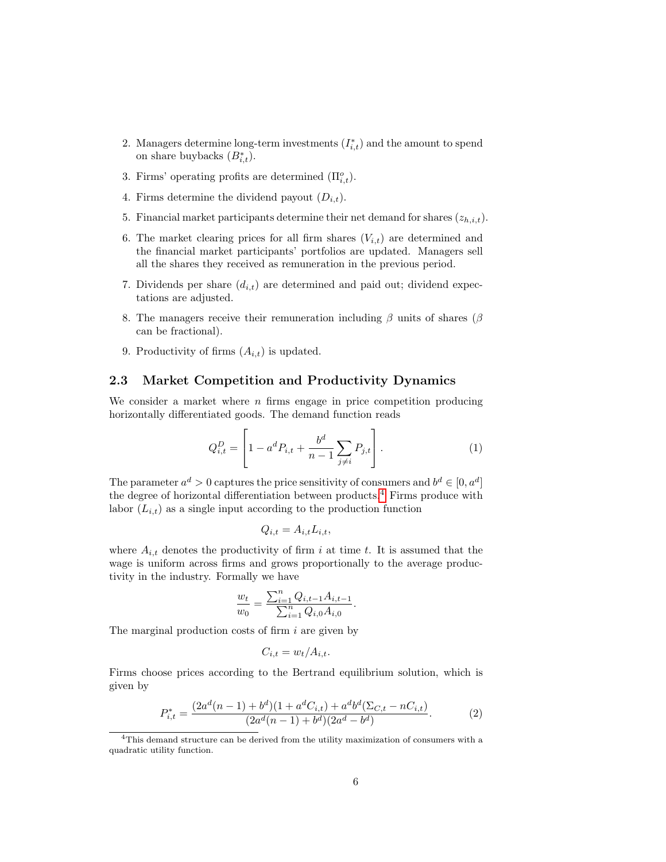- 2. Managers determine long-term investments  $(I_{i,t}^*)$  and the amount to spend on share buybacks  $(B_{i,t}^* )$ .
- 3. Firms' operating profits are determined  $(\Pi_{i,t}^o)$ .
- 4. Firms determine the dividend payout  $(D_{i,t})$ .
- 5. Financial market participants determine their net demand for shares  $(z_{h,i,t})$ .
- 6. The market clearing prices for all firm shares  $(V_{i,t})$  are determined and the financial market participants' portfolios are updated. Managers sell all the shares they received as remuneration in the previous period.
- 7. Dividends per share  $(d_{i,t})$  are determined and paid out; dividend expectations are adjusted.
- 8. The managers receive their remuneration including  $\beta$  units of shares ( $\beta$ ) can be fractional).
- 9. Productivity of firms  $(A_{i,t})$  is updated.

 $\overline{a}$ 

#### <span id="page-6-2"></span>2.3 Market Competition and Productivity Dynamics

We consider a market where  $n$  firms engage in price competition producing horizontally differentiated goods. The demand function reads

$$
Q_{i,t}^D = \left[1 - a^d P_{i,t} + \frac{b^d}{n-1} \sum_{j \neq i} P_{j,t}\right].
$$
 (1)

The parameter  $a^d > 0$  captures the price sensitivity of consumers and  $b^d \in [0, a^d]$ the degree of horizontal differentiation between products.[4](#page-6-0) Firms produce with labor  $(L_{i,t})$  as a single input according to the production function

$$
Q_{i,t} = A_{i,t} L_{i,t},
$$

where  $A_{i,t}$  denotes the productivity of firm i at time t. It is assumed that the wage is uniform across firms and grows proportionally to the average productivity in the industry. Formally we have

$$
\frac{w_t}{w_0} = \frac{\sum_{i=1}^n Q_{i,t-1} A_{i,t-1}}{\sum_{i=1}^n Q_{i,0} A_{i,0}}.
$$

The marginal production costs of firm  $i$  are given by

$$
C_{i,t} = w_t / A_{i,t}.
$$

Firms choose prices according to the Bertrand equilibrium solution, which is given by

<span id="page-6-1"></span>
$$
P_{i,t}^{*} = \frac{(2a^d(n-1) + b^d)(1 + a^d C_{i,t}) + a^d b^d (\Sigma_{C,t} - n C_{i,t})}{(2a^d(n-1) + b^d)(2a^d - b^d)}.
$$
 (2)

<span id="page-6-0"></span><sup>4</sup>This demand structure can be derived from the utility maximization of consumers with a quadratic utility function.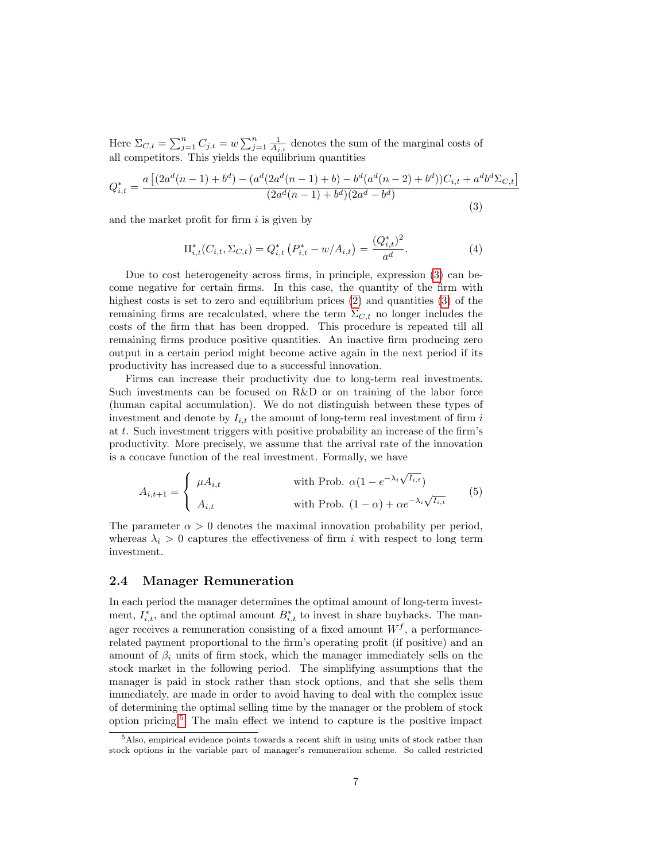Here  $\Sigma_{C,t} = \sum_{j=1}^{n} C_{j,t} = w \sum_{j=1}^{n} \frac{1}{A_{j,t}}$  denotes the sum of the marginal costs of all competitors. This yields the equilibrium quantities

<span id="page-7-0"></span>
$$
Q_{i,t}^{*} = \frac{a \left[ (2a^{d}(n-1) + b^{d}) - (a^{d}(2a^{d}(n-1) + b) - b^{d}(a^{d}(n-2) + b^{d}))C_{i,t} + a^{d}b^{d}\Sigma_{C,t} \right]}{(2a^{d}(n-1) + b^{d})(2a^{d} - b^{d})}
$$
\n(3)

and the market profit for firm  $i$  is given by

<span id="page-7-2"></span>
$$
\Pi_{i,t}^*(C_{i,t}, \Sigma_{C,t}) = Q_{i,t}^*\left(P_{i,t}^* - w/A_{i,t}\right) = \frac{(Q_{i,t}^*)^2}{a^d}.
$$
\n(4)

Due to cost heterogeneity across firms, in principle, expression [\(3\)](#page-7-0) can become negative for certain firms. In this case, the quantity of the firm with highest costs is set to zero and equilibrium prices  $(2)$  and quantities  $(3)$  of the remaining firms are recalculated, where the term  $\Sigma_{C,t}$  no longer includes the costs of the firm that has been dropped. This procedure is repeated till all remaining firms produce positive quantities. An inactive firm producing zero output in a certain period might become active again in the next period if its productivity has increased due to a successful innovation.

Firms can increase their productivity due to long-term real investments. Such investments can be focused on R&D or on training of the labor force (human capital accumulation). We do not distinguish between these types of investment and denote by  $I_{i,t}$  the amount of long-term real investment of firm i at t. Such investment triggers with positive probability an increase of the firm's productivity. More precisely, we assume that the arrival rate of the innovation is a concave function of the real investment. Formally, we have

<span id="page-7-3"></span>
$$
A_{i,t+1} = \begin{cases} \mu A_{i,t} & \text{with Prob. } \alpha (1 - e^{-\lambda_i \sqrt{I_{i,t}}}) \\ A_{i,t} & \text{with Prob. } (1 - \alpha) + \alpha e^{-\lambda_i \sqrt{I_{i,t}}} \end{cases}
$$
(5)

The parameter  $\alpha > 0$  denotes the maximal innovation probability per period, whereas  $\lambda_i > 0$  captures the effectiveness of firm i with respect to long term investment.

#### 2.4 Manager Remuneration

In each period the manager determines the optimal amount of long-term investment,  $I_{i,t}^*$ , and the optimal amount  $B_{i,t}^*$  to invest in share buybacks. The manager receives a remuneration consisting of a fixed amount  $W<sup>f</sup>$ , a performancerelated payment proportional to the firm's operating profit (if positive) and an amount of  $\beta_i$  units of firm stock, which the manager immediately sells on the stock market in the following period. The simplifying assumptions that the manager is paid in stock rather than stock options, and that she sells them immediately, are made in order to avoid having to deal with the complex issue of determining the optimal selling time by the manager or the problem of stock option pricing.[5](#page-7-1) The main effect we intend to capture is the positive impact

<span id="page-7-1"></span><sup>5</sup>Also, empirical evidence points towards a recent shift in using units of stock rather than stock options in the variable part of manager's remuneration scheme. So called restricted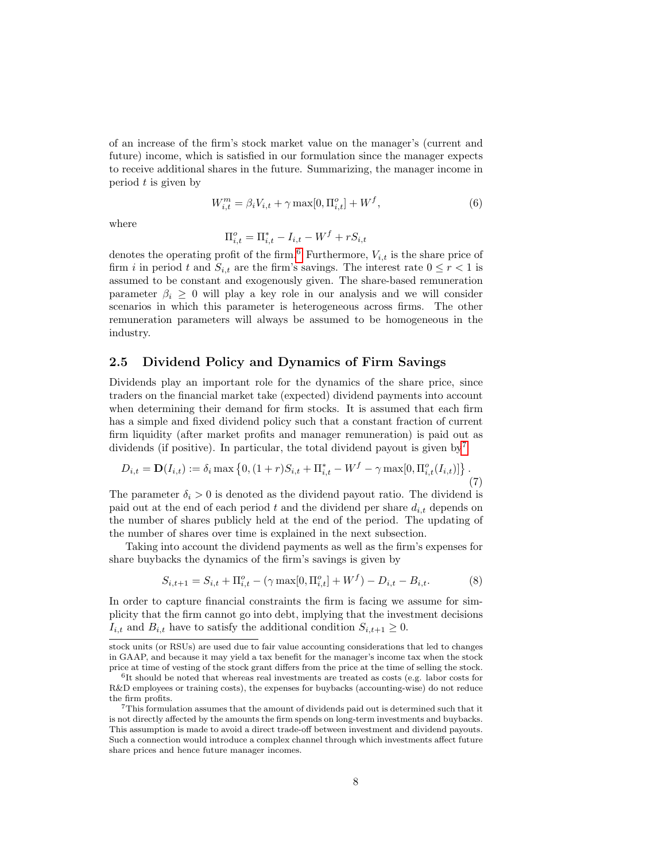of an increase of the firm's stock market value on the manager's (current and future) income, which is satisfied in our formulation since the manager expects to receive additional shares in the future. Summarizing, the manager income in period  $t$  is given by

$$
W_{i,t}^{m} = \beta_i V_{i,t} + \gamma \max[0, \Pi_{i,t}^o] + W^f,
$$
\n(6)

where

$$
\Pi_{i,t}^o = \Pi_{i,t}^* - I_{i,t} - W^f + rS_{i,t}
$$

denotes the operating profit of the firm.<sup>[6](#page-8-0)</sup> Furthermore,  $V_{i,t}$  is the share price of firm i in period t and  $S_{i,t}$  are the firm's savings. The interest rate  $0 \leq r < 1$  is assumed to be constant and exogenously given. The share-based remuneration parameter  $\beta_i \geq 0$  will play a key role in our analysis and we will consider scenarios in which this parameter is heterogeneous across firms. The other remuneration parameters will always be assumed to be homogeneous in the industry.

#### 2.5 Dividend Policy and Dynamics of Firm Savings

Dividends play an important role for the dynamics of the share price, since traders on the financial market take (expected) dividend payments into account when determining their demand for firm stocks. It is assumed that each firm has a simple and fixed dividend policy such that a constant fraction of current firm liquidity (after market profits and manager remuneration) is paid out as dividends (if positive). In particular, the total dividend payout is given by<sup>[7](#page-8-1)</sup>

<span id="page-8-2"></span>
$$
D_{i,t} = \mathbf{D}(I_{i,t}) := \delta_i \max \left\{ 0, (1+r)S_{i,t} + \Pi_{i,t}^* - W^f - \gamma \max[0, \Pi_{i,t}^o(I_{i,t})] \right\}.
$$
\n(7)

The parameter  $\delta_i > 0$  is denoted as the dividend payout ratio. The dividend is paid out at the end of each period t and the dividend per share  $d_{i,t}$  depends on the number of shares publicly held at the end of the period. The updating of the number of shares over time is explained in the next subsection.

Taking into account the dividend payments as well as the firm's expenses for share buybacks the dynamics of the firm's savings is given by

$$
S_{i,t+1} = S_{i,t} + \Pi_{i,t}^o - (\gamma \max[0, \Pi_{i,t}^o] + W^f) - D_{i,t} - B_{i,t}.
$$
 (8)

In order to capture financial constraints the firm is facing we assume for simplicity that the firm cannot go into debt, implying that the investment decisions  $I_{i,t}$  and  $B_{i,t}$  have to satisfy the additional condition  $S_{i,t+1} \geq 0$ .

stock units (or RSUs) are used due to fair value accounting considerations that led to changes in GAAP, and because it may yield a tax benefit for the manager's income tax when the stock price at time of vesting of the stock grant differs from the price at the time of selling the stock.

<span id="page-8-0"></span><sup>&</sup>lt;sup>6</sup>It should be noted that whereas real investments are treated as costs (e.g. labor costs for R&D employees or training costs), the expenses for buybacks (accounting-wise) do not reduce the firm profits.

<span id="page-8-1"></span><sup>7</sup>This formulation assumes that the amount of dividends paid out is determined such that it is not directly affected by the amounts the firm spends on long-term investments and buybacks. This assumption is made to avoid a direct trade-off between investment and dividend payouts. Such a connection would introduce a complex channel through which investments affect future share prices and hence future manager incomes.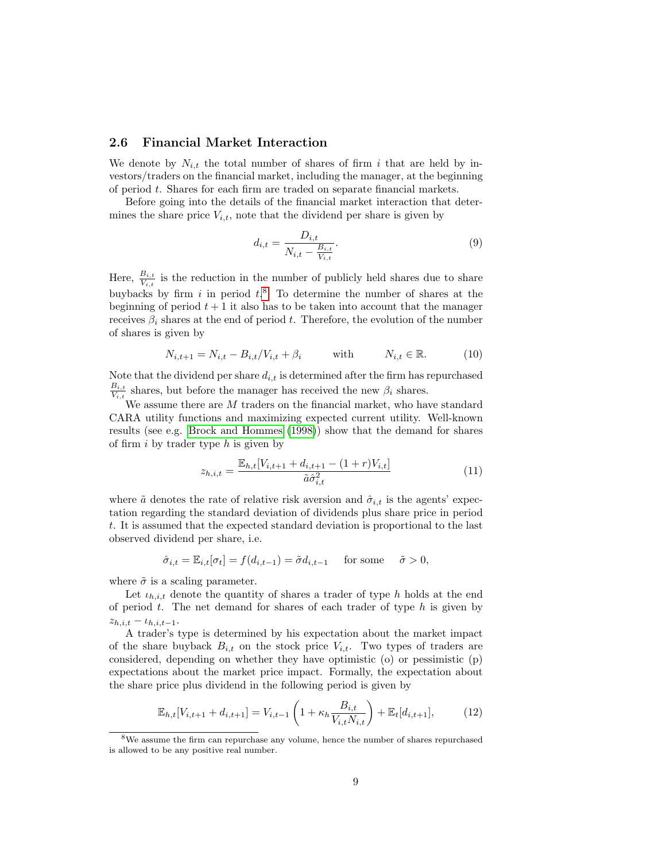#### 2.6 Financial Market Interaction

We denote by  $N_{i,t}$  the total number of shares of firm i that are held by investors/traders on the financial market, including the manager, at the beginning of period t. Shares for each firm are traded on separate financial markets.

Before going into the details of the financial market interaction that determines the share price  $V_{i,t}$ , note that the dividend per share is given by

$$
d_{i,t} = \frac{D_{i,t}}{N_{i,t} - \frac{B_{i,t}}{V_{i,t}}}.\t(9)
$$

Here,  $\frac{B_{i,t}}{V_{i,t}}$  is the reduction in the number of publicly held shares due to share buybacks by firm i in period  $t$ <sup>[8](#page-9-0)</sup>. To determine the number of shares at the beginning of period  $t + 1$  it also has to be taken into account that the manager receives  $\beta_i$  shares at the end of period t. Therefore, the evolution of the number of shares is given by

$$
N_{i,t+1} = N_{i,t} - B_{i,t}/V_{i,t} + \beta_i \quad \text{with} \quad N_{i,t} \in \mathbb{R}.\tag{10}
$$

Note that the dividend per share  $d_{i,t}$  is determined after the firm has repurchased  $B_{i,t}$  $\frac{B_{i,t}}{V_{i,t}}$  shares, but before the manager has received the new  $\beta_i$  shares.

We assume there are  $M$  traders on the financial market, who have standard CARA utility functions and maximizing expected current utility. Well-known results (see e.g. [Brock and Hommes](#page-35-9) [\(1998\)](#page-35-9)) show that the demand for shares of firm  $i$  by trader type  $h$  is given by

$$
z_{h,i,t} = \frac{\mathbb{E}_{h,t}[V_{i,t+1} + d_{i,t+1} - (1+r)V_{i,t}]}{\tilde{a}\hat{\sigma}_{i,t}^2}
$$
(11)

where  $\tilde{a}$  denotes the rate of relative risk aversion and  $\hat{\sigma}_{i,t}$  is the agents' expectation regarding the standard deviation of dividends plus share price in period t. It is assumed that the expected standard deviation is proportional to the last observed dividend per share, i.e.

$$
\hat{\sigma}_{i,t} = \mathbb{E}_{i,t}[\sigma_t] = f(d_{i,t-1}) = \tilde{\sigma}d_{i,t-1} \quad \text{for some} \quad \tilde{\sigma} > 0,
$$

where  $\tilde{\sigma}$  is a scaling parameter.

Let  $\iota_{h,i,t}$  denote the quantity of shares a trader of type h holds at the end of period  $t$ . The net demand for shares of each trader of type  $h$  is given by  $z_{h,i,t} - \iota_{h,i,t-1}.$ 

A trader's type is determined by his expectation about the market impact of the share buyback  $B_{i,t}$  on the stock price  $V_{i,t}$ . Two types of traders are considered, depending on whether they have optimistic (o) or pessimistic (p) expectations about the market price impact. Formally, the expectation about the share price plus dividend in the following period is given by

<span id="page-9-1"></span>
$$
\mathbb{E}_{h,t}[V_{i,t+1} + d_{i,t+1}] = V_{i,t-1} \left( 1 + \kappa_h \frac{B_{i,t}}{V_{i,t} N_{i,t}} \right) + \mathbb{E}_t[d_{i,t+1}], \tag{12}
$$

<span id="page-9-0"></span><sup>8</sup>We assume the firm can repurchase any volume, hence the number of shares repurchased is allowed to be any positive real number.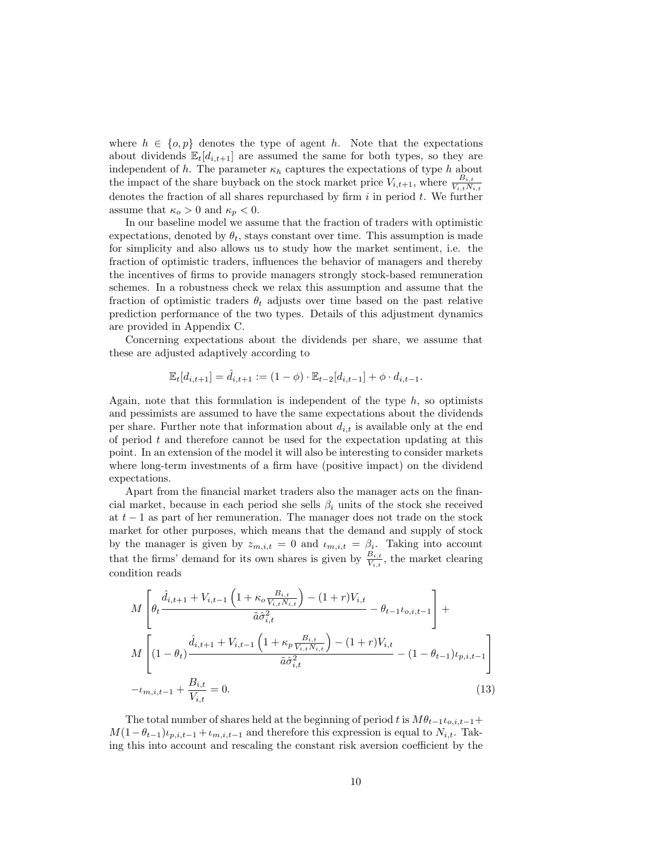where  $h \in \{o, p\}$  denotes the type of agent h. Note that the expectations about dividends  $\mathbb{E}_{t}[d_{i,t+1}]$  are assumed the same for both types, so they are independent of h. The parameter  $\kappa_h$  captures the expectations of type h about the impact of the share buyback on the stock market price  $V_{i,t+1}$ , where  $\frac{B_{i,t}}{V_{i,t}N_{i,t}}$ denotes the fraction of all shares repurchased by firm  $i$  in period  $t$ . We further assume that  $\kappa_o > 0$  and  $\kappa_p < 0$ .

In our baseline model we assume that the fraction of traders with optimistic expectations, denoted by  $\theta_t$ , stays constant over time. This assumption is made for simplicity and also allows us to study how the market sentiment, i.e. the fraction of optimistic traders, influences the behavior of managers and thereby the incentives of firms to provide managers strongly stock-based remuneration schemes. In a robustness check we relax this assumption and assume that the fraction of optimistic traders  $\theta_t$  adjusts over time based on the past relative prediction performance of the two types. Details of this adjustment dynamics are provided in Appendix C.

Concerning expectations about the dividends per share, we assume that these are adjusted adaptively according to

$$
\mathbb{E}_t[d_{i,t+1}] = \hat{d}_{i,t+1} := (1 - \phi) \cdot \mathbb{E}_{t-2}[d_{i,t-1}] + \phi \cdot d_{i,t-1}.
$$

Again, note that this formulation is independent of the type  $h$ , so optimists and pessimists are assumed to have the same expectations about the dividends per share. Further note that information about  $d_{i,t}$  is available only at the end of period  $t$  and therefore cannot be used for the expectation updating at this point. In an extension of the model it will also be interesting to consider markets where long-term investments of a firm have (positive impact) on the dividend expectations.

Apart from the financial market traders also the manager acts on the financial market, because in each period she sells  $\beta_i$  units of the stock she received at  $t-1$  as part of her remuneration. The manager does not trade on the stock market for other purposes, which means that the demand and supply of stock by the manager is given by  $z_{m,i,t} = 0$  and  $t_{m,i,t} = \beta_i$ . Taking into account that the firms' demand for its own shares is given by  $\frac{B_{i,t}}{V_{i,t}}$ , the market clearing condition reads

<span id="page-10-0"></span>
$$
M\left[\theta_{t}\frac{\hat{d}_{i,t+1} + V_{i,t-1}\left(1 + \kappa_{o}\frac{B_{i,t}}{V_{i,t}N_{i,t}}\right) - (1+r)V_{i,t}}{\tilde{a}\hat{\sigma}_{i,t}^{2}} - \theta_{t-1}\iota_{o,i,t-1}\right] + M\left[(1-\theta_{t})\frac{\hat{d}_{i,t+1} + V_{i,t-1}\left(1 + \kappa_{p}\frac{B_{i,t}}{V_{i,t}N_{i,t}}\right) - (1+r)V_{i,t}}{\tilde{a}\hat{\sigma}_{i,t}^{2}} - (1-\theta_{t-1})\iota_{p,i,t-1}\right] - \iota_{m,i,t-1} + \frac{B_{i,t}}{V_{i,t}} = 0.
$$
\n(13)

The total number of shares held at the beginning of period t is  $M\theta_{t-1}t_{o,i,t-1}$ +  $M(1-\theta_{t-1})\iota_{p,i,t-1} + \iota_{m,i,t-1}$  and therefore this expression is equal to  $N_{i,t}$ . Taking this into account and rescaling the constant risk aversion coefficient by the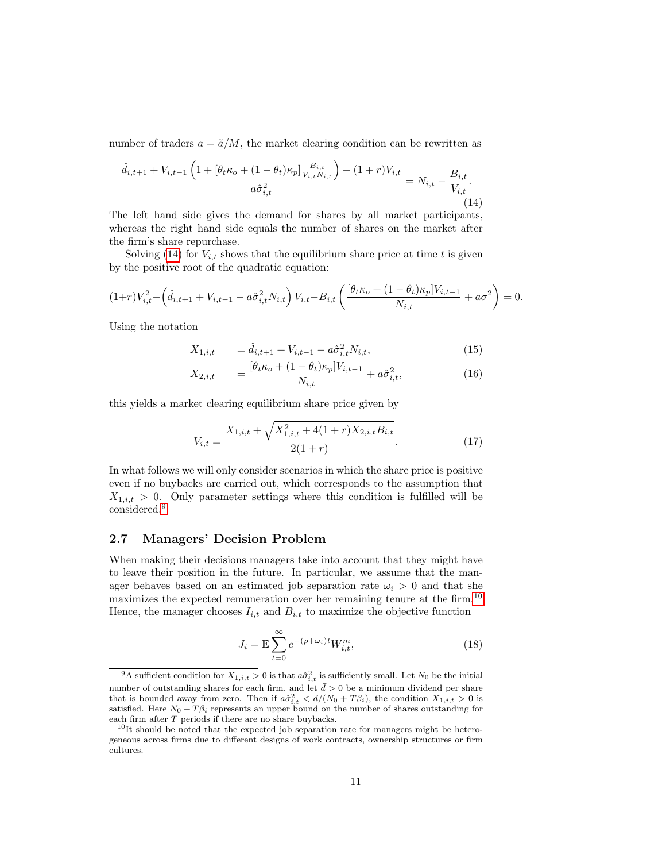number of traders  $a = \tilde{a}/M$ , the market clearing condition can be rewritten as

<span id="page-11-0"></span>
$$
\frac{\hat{d}_{i,t+1} + V_{i,t-1} \left( 1 + \left[ \theta_t \kappa_o + (1 - \theta_t) \kappa_p \right] \frac{B_{i,t}}{V_{i,t} N_{i,t}} \right) - (1 + r) V_{i,t}}{a \hat{\sigma}_{i,t}^2} = N_{i,t} - \frac{B_{i,t}}{V_{i,t}}.
$$
\n(14)

The left hand side gives the demand for shares by all market participants, whereas the right hand side equals the number of shares on the market after the firm's share repurchase.

Solving [\(14\)](#page-11-0) for  $V_{i,t}$  shows that the equilibrium share price at time t is given by the positive root of the quadratic equation:

$$
(1+r)V_{i,t}^2 - \left(\hat{d}_{i,t+1} + V_{i,t-1} - a\hat{\sigma}_{i,t}^2 N_{i,t}\right) V_{i,t} - B_{i,t} \left(\frac{[\theta_t \kappa_o + (1-\theta_t)\kappa_p]V_{i,t-1}}{N_{i,t}} + a\sigma^2\right) = 0.
$$

Using the notation

<span id="page-11-4"></span>
$$
X_{1,i,t} = \hat{d}_{i,t+1} + V_{i,t-1} - a\hat{\sigma}_{i,t}^2 N_{i,t},
$$
\n(15)

$$
X_{2,i,t} = \frac{[\theta_t \kappa_o + (1 - \theta_t) \kappa_p] V_{i,t-1}}{N_{i,t}} + a \hat{\sigma}_{i,t}^2, \tag{16}
$$

this yields a market clearing equilibrium share price given by

$$
V_{i,t} = \frac{X_{1,i,t} + \sqrt{X_{1,i,t}^2 + 4(1+r)X_{2,i,t}B_{i,t}}}{2(1+r)}.
$$
\n(17)

In what follows we will only consider scenarios in which the share price is positive even if no buybacks are carried out, which corresponds to the assumption that  $X_{1,i,t} > 0$ . Only parameter settings where this condition is fulfilled will be considered.[9](#page-11-1)

#### 2.7 Managers' Decision Problem

When making their decisions managers take into account that they might have to leave their position in the future. In particular, we assume that the manager behaves based on an estimated job separation rate  $\omega_i > 0$  and that she maximizes the expected remuneration over her remaining tenure at the firm.<sup>[10](#page-11-2)</sup> Hence, the manager chooses  $I_{i,t}$  and  $B_{i,t}$  to maximize the objective function

<span id="page-11-3"></span>
$$
J_i = \mathbb{E}\sum_{t=0}^{\infty} e^{-(\rho + \omega_i)t} W_{i,t}^m,
$$
\n(18)

<span id="page-11-1"></span><sup>&</sup>lt;sup>9</sup>A sufficient condition for  $X_{1,i,t} > 0$  is that  $a\hat{\sigma}_{i,t}^2$  is sufficiently small. Let  $N_0$  be the initial number of outstanding shares for each firm, and let  $\bar{d} > 0$  be a minimum dividend per share that is bounded away from zero. Then if  $a\hat{\sigma}_{i,t}^2 < \bar{d}/(N_0+T\beta_i)$ , the condition  $X_{1,i,t} > 0$  is satisfied. Here  $N_0 + T\beta_i$  represents an upper bound on the number of shares outstanding for each firm after T periods if there are no share buybacks.

<span id="page-11-2"></span> $10$ It should be noted that the expected job separation rate for managers might be heterogeneous across firms due to different designs of work contracts, ownership structures or firm cultures.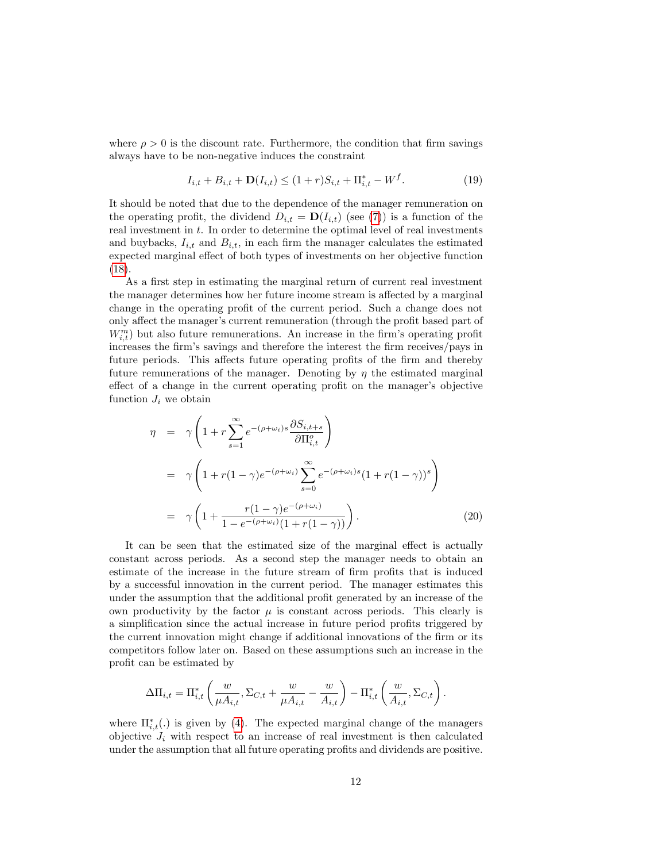where  $\rho > 0$  is the discount rate. Furthermore, the condition that firm savings always have to be non-negative induces the constraint

<span id="page-12-0"></span>
$$
I_{i,t} + B_{i,t} + \mathbf{D}(I_{i,t}) \le (1+r)S_{i,t} + \Pi_{i,t}^* - W^f. \tag{19}
$$

It should be noted that due to the dependence of the manager remuneration on the operating profit, the dividend  $D_{i,t} = D(I_{i,t})$  (see [\(7\)](#page-8-2)) is a function of the real investment in t. In order to determine the optimal level of real investments and buybacks,  $I_{i,t}$  and  $B_{i,t}$ , in each firm the manager calculates the estimated expected marginal effect of both types of investments on her objective function [\(18\)](#page-11-3).

As a first step in estimating the marginal return of current real investment the manager determines how her future income stream is affected by a marginal change in the operating profit of the current period. Such a change does not only affect the manager's current remuneration (through the profit based part of  $W_{i,t}^m$ ) but also future remunerations. An increase in the firm's operating profit increases the firm's savings and therefore the interest the firm receives/pays in future periods. This affects future operating profits of the firm and thereby future remunerations of the manager. Denoting by  $\eta$  the estimated marginal effect of a change in the current operating profit on the manager's objective function  $J_i$  we obtain

$$
\eta = \gamma \left( 1 + r \sum_{s=1}^{\infty} e^{-(\rho + \omega_i)s} \frac{\partial S_{i,t+s}}{\partial \Pi_{i,t}^o} \right)
$$
  
\n
$$
= \gamma \left( 1 + r(1 - \gamma)e^{-(\rho + \omega_i)} \sum_{s=0}^{\infty} e^{-(\rho + \omega_i)s} (1 + r(1 - \gamma))^s \right)
$$
  
\n
$$
= \gamma \left( 1 + \frac{r(1 - \gamma)e^{-(\rho + \omega_i)}}{1 - e^{-(\rho + \omega_i)}(1 + r(1 - \gamma))} \right).
$$
 (20)

It can be seen that the estimated size of the marginal effect is actually constant across periods. As a second step the manager needs to obtain an estimate of the increase in the future stream of firm profits that is induced by a successful innovation in the current period. The manager estimates this under the assumption that the additional profit generated by an increase of the own productivity by the factor  $\mu$  is constant across periods. This clearly is a simplification since the actual increase in future period profits triggered by the current innovation might change if additional innovations of the firm or its competitors follow later on. Based on these assumptions such an increase in the profit can be estimated by

$$
\Delta \Pi_{i,t} = \Pi_{i,t}^* \left( \frac{w}{\mu A_{i,t}}, \Sigma_{C,t} + \frac{w}{\mu A_{i,t}} - \frac{w}{A_{i,t}} \right) - \Pi_{i,t}^* \left( \frac{w}{A_{i,t}}, \Sigma_{C,t} \right).
$$

where  $\Pi_{i,t}^*(.)$  is given by [\(4\)](#page-7-2). The expected marginal change of the managers objective  $J_i$  with respect to an increase of real investment is then calculated under the assumption that all future operating profits and dividends are positive.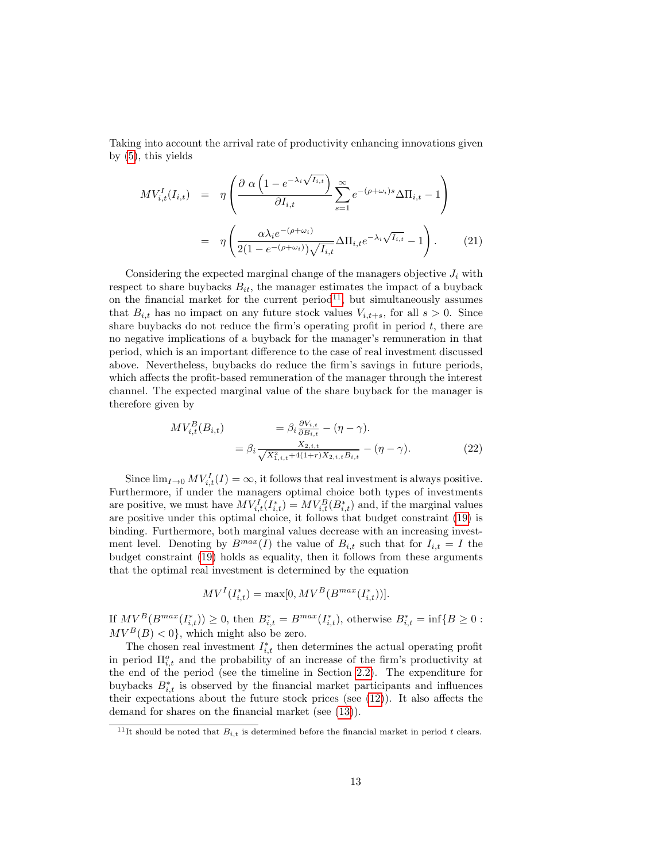Taking into account the arrival rate of productivity enhancing innovations given by [\(5\)](#page-7-3), this yields

<span id="page-13-2"></span>
$$
MV_{i,t}^{I}(I_{i,t}) = \eta \left( \frac{\partial \alpha \left( 1 - e^{-\lambda_i \sqrt{I_{i,t}}} \right)}{\partial I_{i,t}} \sum_{s=1}^{\infty} e^{-(\rho + \omega_i)s} \Delta \Pi_{i,t} - 1 \right)
$$

$$
= \eta \left( \frac{\alpha \lambda_i e^{-(\rho + \omega_i)}}{2(1 - e^{-(\rho + \omega_i)}) \sqrt{I_{i,t}}} \Delta \Pi_{i,t} e^{-\lambda_i \sqrt{I_{i,t}}} - 1 \right). \tag{21}
$$

Considering the expected marginal change of the managers objective  $J_i$  with respect to share buybacks  $B_{it}$ , the manager estimates the impact of a buyback on the financial market for the current period<sup>[11](#page-13-0)</sup>, but simultaneously assumes that  $B_{i,t}$  has no impact on any future stock values  $V_{i,t+s}$ , for all  $s > 0$ . Since share buybacks do not reduce the firm's operating profit in period  $t$ , there are no negative implications of a buyback for the manager's remuneration in that period, which is an important difference to the case of real investment discussed above. Nevertheless, buybacks do reduce the firm's savings in future periods, which affects the profit-based remuneration of the manager through the interest channel. The expected marginal value of the share buyback for the manager is therefore given by

<span id="page-13-1"></span>
$$
MV_{i,t}^{B}(B_{i,t}) = \beta_{i} \frac{\partial V_{i,t}}{\partial B_{i,t}} - (\eta - \gamma).
$$
  
= 
$$
\beta_{i} \frac{X_{2,i,t}}{\sqrt{X_{1,i,t}^{2} + 4(1+r)X_{2,i,t}B_{i,t}}} - (\eta - \gamma).
$$
 (22)

Since  $\lim_{I\to 0} MV_{i,t}^I(I) = \infty$ , it follows that real investment is always positive. Furthermore, if under the managers optimal choice both types of investments are positive, we must have  $MV_{i,t}^I(I_{i,t}^*) = MV_{i,t}^B(B_{i,t}^*)$  and, if the marginal values are positive under this optimal choice, it follows that budget constraint [\(19\)](#page-12-0) is binding. Furthermore, both marginal values decrease with an increasing investment level. Denoting by  $B^{max}(I)$  the value of  $B_{i,t}$  such that for  $I_{i,t} = I$  the budget constraint [\(19\)](#page-12-0) holds as equality, then it follows from these arguments that the optimal real investment is determined by the equation

$$
MV^{I}(I_{i,t}^{*}) = \max[0, MV^{B}(B^{max}(I_{i,t}^{*}))].
$$

If  $MV^B(B^{max}(I_{i,t}^*)) \ge 0$ , then  $B_{i,t}^* = B^{max}(I_{i,t}^*)$ , otherwise  $B_{i,t}^* = \inf\{B \ge 0:$  $MV^B(B) < 0$ , which might also be zero.

The chosen real investment  $I_{i,t}^*$  then determines the actual operating profit in period  $\Pi_{i,t}^o$  and the probability of an increase of the firm's productivity at the end of the period (see the timeline in Section [2.2\)](#page-5-2). The expenditure for buybacks  $B_{i,t}^*$  is observed by the financial market participants and influences their expectations about the future stock prices (see [\(12\)](#page-9-1)). It also affects the demand for shares on the financial market (see [\(13\)](#page-10-0)).

<span id="page-13-0"></span><sup>&</sup>lt;sup>11</sup>It should be noted that  $B_{i,t}$  is determined before the financial market in period t clears.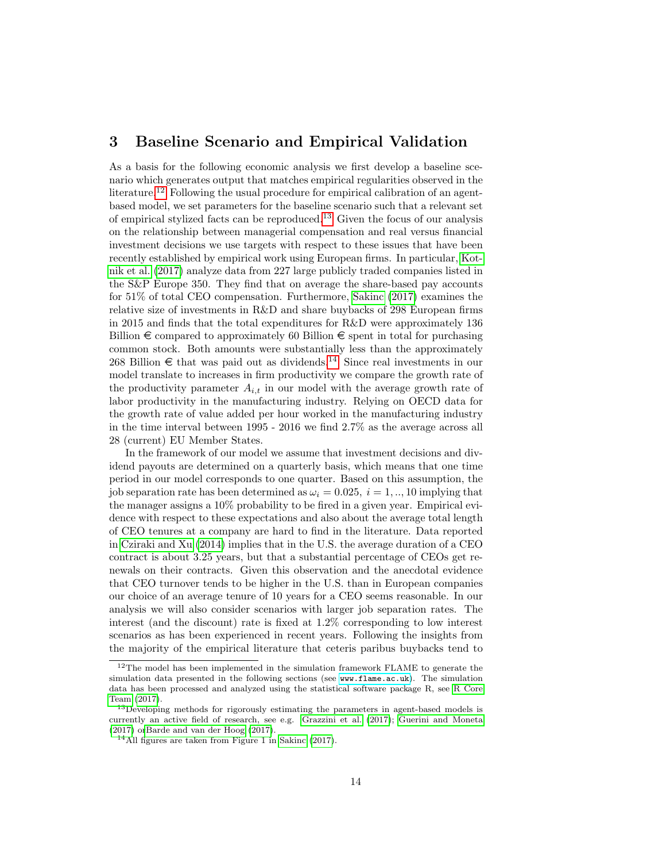## <span id="page-14-0"></span>3 Baseline Scenario and Empirical Validation

As a basis for the following economic analysis we first develop a baseline scenario which generates output that matches empirical regularities observed in the literature.<sup>[12](#page-14-1)</sup> Following the usual procedure for empirical calibration of an agentbased model, we set parameters for the baseline scenario such that a relevant set of empirical stylized facts can be reproduced.[13](#page-14-2) Given the focus of our analysis on the relationship between managerial compensation and real versus financial investment decisions we use targets with respect to these issues that have been recently established by empirical work using European firms. In particular, [Kot](#page-36-5)[nik et al.](#page-36-5) [\(2017\)](#page-36-5) analyze data from 227 large publicly traded companies listed in the S&P Europe 350. They find that on average the share-based pay accounts for 51% of total CEO compensation. Furthermore, [Sakinc](#page-36-0) [\(2017\)](#page-36-0) examines the relative size of investments in R&D and share buybacks of 298 European firms in 2015 and finds that the total expenditures for R&D were approximately 136 Billion  $\epsilon$  compared to approximately 60 Billion  $\epsilon$  spent in total for purchasing common stock. Both amounts were substantially less than the approximately 268 Billion  $\epsilon$  that was paid out as dividends.<sup>[14](#page-14-3)</sup> Since real investments in our model translate to increases in firm productivity we compare the growth rate of the productivity parameter  $A_{i,t}$  in our model with the average growth rate of labor productivity in the manufacturing industry. Relying on OECD data for the growth rate of value added per hour worked in the manufacturing industry in the time interval between 1995 - 2016 we find 2.7% as the average across all 28 (current) EU Member States.

In the framework of our model we assume that investment decisions and dividend payouts are determined on a quarterly basis, which means that one time period in our model corresponds to one quarter. Based on this assumption, the job separation rate has been determined as  $\omega_i = 0.025$ ,  $i = 1, \dots, 10$  implying that the manager assigns a 10% probability to be fired in a given year. Empirical evidence with respect to these expectations and also about the average total length of CEO tenures at a company are hard to find in the literature. Data reported in [Cziraki and Xu](#page-35-4) [\(2014\)](#page-35-4) implies that in the U.S. the average duration of a CEO contract is about 3.25 years, but that a substantial percentage of CEOs get renewals on their contracts. Given this observation and the anecdotal evidence that CEO turnover tends to be higher in the U.S. than in European companies our choice of an average tenure of 10 years for a CEO seems reasonable. In our analysis we will also consider scenarios with larger job separation rates. The interest (and the discount) rate is fixed at 1.2% corresponding to low interest scenarios as has been experienced in recent years. Following the insights from the majority of the empirical literature that ceteris paribus buybacks tend to

<span id="page-14-1"></span> $12$ The model has been implemented in the simulation framework FLAME to generate the simulation data presented in the following sections (see <www.flame.ac.uk>). The simulation data has been processed and analyzed using the statistical software package R, see [R Core](#page-36-11) [Team](#page-36-11) [\(2017\)](#page-36-11).

<span id="page-14-2"></span><sup>&</sup>lt;sup>13</sup>Developing methods for rigorously estimating the parameters in agent-based models is currently an active field of research, see e.g. [Grazzini et al.](#page-36-12) [\(2017\)](#page-36-12); [Guerini and Moneta](#page-36-13) [\(2017\)](#page-36-13) o[rBarde and van der Hoog](#page-35-10) [\(2017\)](#page-35-10).

<span id="page-14-3"></span> $14$ All figures are taken from Figure 1 in [Sakinc](#page-36-0) [\(2017\)](#page-36-0).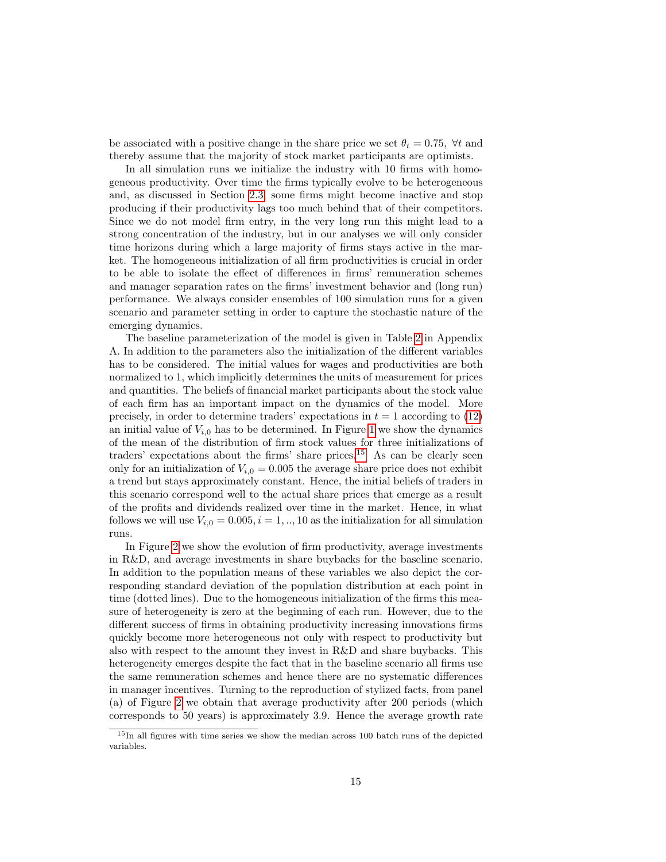be associated with a positive change in the share price we set  $\theta_t = 0.75$ ,  $\forall t$  and thereby assume that the majority of stock market participants are optimists.

In all simulation runs we initialize the industry with 10 firms with homogeneous productivity. Over time the firms typically evolve to be heterogeneous and, as discussed in Section [2.3,](#page-6-2) some firms might become inactive and stop producing if their productivity lags too much behind that of their competitors. Since we do not model firm entry, in the very long run this might lead to a strong concentration of the industry, but in our analyses we will only consider time horizons during which a large majority of firms stays active in the market. The homogeneous initialization of all firm productivities is crucial in order to be able to isolate the effect of differences in firms' remuneration schemes and manager separation rates on the firms' investment behavior and (long run) performance. We always consider ensembles of 100 simulation runs for a given scenario and parameter setting in order to capture the stochastic nature of the emerging dynamics.

The baseline parameterization of the model is given in Table [2](#page-29-0) in Appendix A. In addition to the parameters also the initialization of the different variables has to be considered. The initial values for wages and productivities are both normalized to 1, which implicitly determines the units of measurement for prices and quantities. The beliefs of financial market participants about the stock value of each firm has an important impact on the dynamics of the model. More precisely, in order to determine traders' expectations in  $t = 1$  according to [\(12\)](#page-9-1) an initial value of  $V_{i,0}$  has to be determined. In Figure [1](#page-16-0) we show the dynamics of the mean of the distribution of firm stock values for three initializations of traders' expectations about the firms' share prices.<sup>[15](#page-15-0)</sup> As can be clearly seen only for an initialization of  $V_{i,0} = 0.005$  the average share price does not exhibit a trend but stays approximately constant. Hence, the initial beliefs of traders in this scenario correspond well to the actual share prices that emerge as a result of the profits and dividends realized over time in the market. Hence, in what follows we will use  $V_{i,0} = 0.005, i = 1, \ldots, 10$  as the initialization for all simulation runs.

In Figure [2](#page-17-1) we show the evolution of firm productivity, average investments in R&D, and average investments in share buybacks for the baseline scenario. In addition to the population means of these variables we also depict the corresponding standard deviation of the population distribution at each point in time (dotted lines). Due to the homogeneous initialization of the firms this measure of heterogeneity is zero at the beginning of each run. However, due to the different success of firms in obtaining productivity increasing innovations firms quickly become more heterogeneous not only with respect to productivity but also with respect to the amount they invest in R&D and share buybacks. This heterogeneity emerges despite the fact that in the baseline scenario all firms use the same remuneration schemes and hence there are no systematic differences in manager incentives. Turning to the reproduction of stylized facts, from panel (a) of Figure [2](#page-17-1) we obtain that average productivity after 200 periods (which corresponds to 50 years) is approximately 3.9. Hence the average growth rate

<span id="page-15-0"></span><sup>&</sup>lt;sup>15</sup>In all figures with time series we show the median across 100 batch runs of the depicted variables.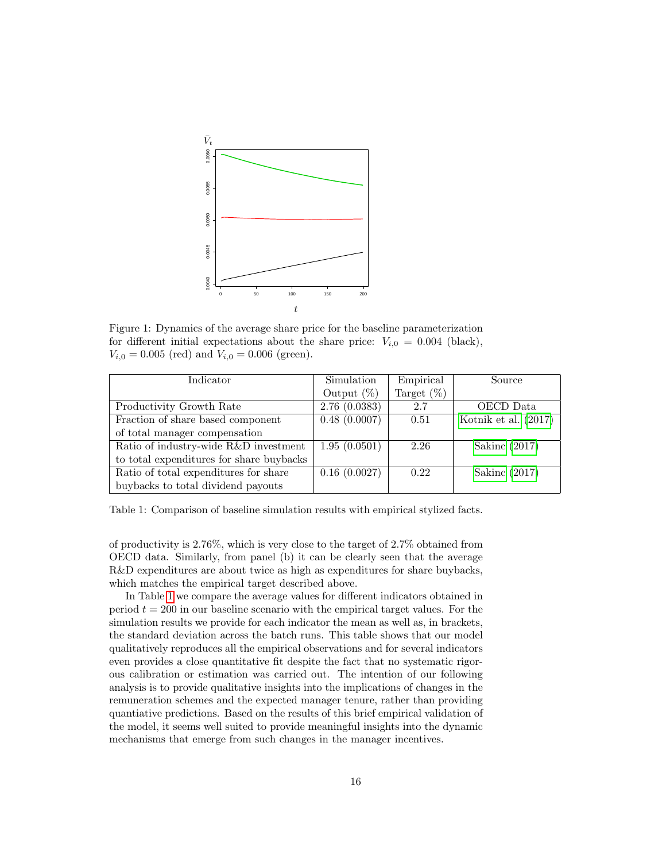

<span id="page-16-0"></span>Figure 1: Dynamics of the average share price for the baseline parameterization for different initial expectations about the share price:  $V_{i,0} = 0.004$  (black),  $V_{i,0} = 0.005$  (red) and  $V_{i,0} = 0.006$  (green).

| Indicator                                | Simulation    | Empirical     | Source                 |
|------------------------------------------|---------------|---------------|------------------------|
|                                          | Output $(\%)$ | Target $(\%)$ |                        |
| Productivity Growth Rate                 | 2.76(0.0383)  | 2.7           | OECD Data              |
| Fraction of share based component        | 0.48(0.0007)  | 0.51          | Kotnik et al. $(2017)$ |
| of total manager compensation            |               |               |                        |
| Ratio of industry-wide R&D investment    | 1.95(0.0501)  | 2.26          | Sakinc $(2017)$        |
| to total expenditures for share buybacks |               |               |                        |
| Ratio of total expenditures for share    | 0.16(0.0027)  | 0.22          | Sakinc $(2017)$        |
| buybacks to total dividend payouts       |               |               |                        |

<span id="page-16-1"></span>Table 1: Comparison of baseline simulation results with empirical stylized facts.

of productivity is 2.76%, which is very close to the target of 2.7% obtained from OECD data. Similarly, from panel (b) it can be clearly seen that the average R&D expenditures are about twice as high as expenditures for share buybacks, which matches the empirical target described above.

In Table [1](#page-16-1) we compare the average values for different indicators obtained in period  $t = 200$  in our baseline scenario with the empirical target values. For the simulation results we provide for each indicator the mean as well as, in brackets, the standard deviation across the batch runs. This table shows that our model qualitatively reproduces all the empirical observations and for several indicators even provides a close quantitative fit despite the fact that no systematic rigorous calibration or estimation was carried out. The intention of our following analysis is to provide qualitative insights into the implications of changes in the remuneration schemes and the expected manager tenure, rather than providing quantiative predictions. Based on the results of this brief empirical validation of the model, it seems well suited to provide meaningful insights into the dynamic mechanisms that emerge from such changes in the manager incentives.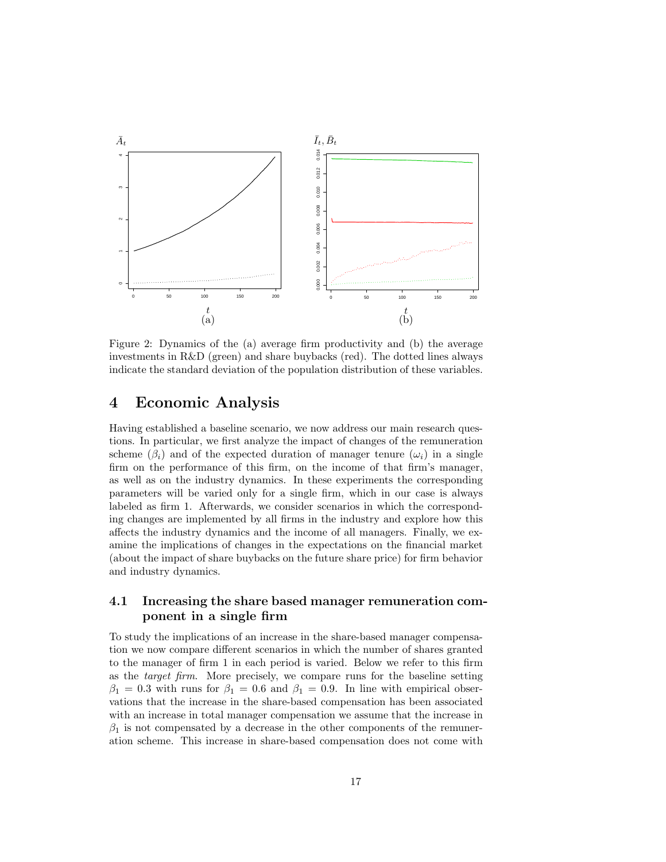

<span id="page-17-1"></span>Figure 2: Dynamics of the (a) average firm productivity and (b) the average investments in R&D (green) and share buybacks (red). The dotted lines always indicate the standard deviation of the population distribution of these variables.

## <span id="page-17-0"></span>4 Economic Analysis

Having established a baseline scenario, we now address our main research questions. In particular, we first analyze the impact of changes of the remuneration scheme ( $\beta_i$ ) and of the expected duration of manager tenure ( $\omega_i$ ) in a single firm on the performance of this firm, on the income of that firm's manager, as well as on the industry dynamics. In these experiments the corresponding parameters will be varied only for a single firm, which in our case is always labeled as firm 1. Afterwards, we consider scenarios in which the corresponding changes are implemented by all firms in the industry and explore how this affects the industry dynamics and the income of all managers. Finally, we examine the implications of changes in the expectations on the financial market (about the impact of share buybacks on the future share price) for firm behavior and industry dynamics.

#### <span id="page-17-2"></span>4.1 Increasing the share based manager remuneration component in a single firm

To study the implications of an increase in the share-based manager compensation we now compare different scenarios in which the number of shares granted to the manager of firm 1 in each period is varied. Below we refer to this firm as the target firm. More precisely, we compare runs for the baseline setting  $\beta_1 = 0.3$  with runs for  $\beta_1 = 0.6$  and  $\beta_1 = 0.9$ . In line with empirical observations that the increase in the share-based compensation has been associated with an increase in total manager compensation we assume that the increase in  $\beta_1$  is not compensated by a decrease in the other components of the remuneration scheme. This increase in share-based compensation does not come with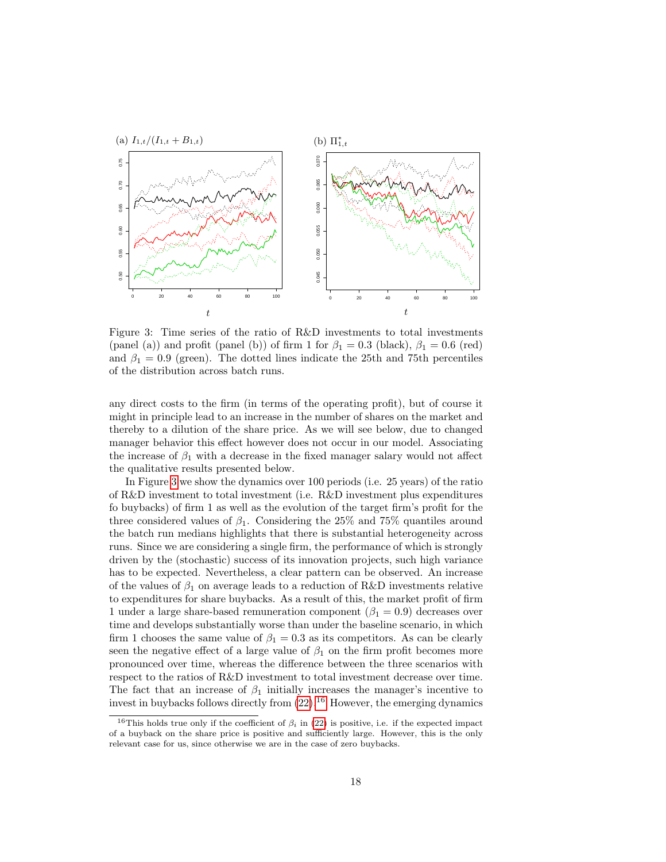

<span id="page-18-0"></span>Figure 3: Time series of the ratio of R&D investments to total investments (panel (a)) and profit (panel (b)) of firm 1 for  $\beta_1 = 0.3$  (black),  $\beta_1 = 0.6$  (red) and  $\beta_1 = 0.9$  (green). The dotted lines indicate the 25th and 75th percentiles of the distribution across batch runs.

any direct costs to the firm (in terms of the operating profit), but of course it might in principle lead to an increase in the number of shares on the market and thereby to a dilution of the share price. As we will see below, due to changed manager behavior this effect however does not occur in our model. Associating the increase of  $\beta_1$  with a decrease in the fixed manager salary would not affect the qualitative results presented below.

In Figure [3](#page-18-0) we show the dynamics over 100 periods (i.e. 25 years) of the ratio of R&D investment to total investment (i.e. R&D investment plus expenditures fo buybacks) of firm 1 as well as the evolution of the target firm's profit for the three considered values of  $\beta_1$ . Considering the 25% and 75% quantiles around the batch run medians highlights that there is substantial heterogeneity across runs. Since we are considering a single firm, the performance of which is strongly driven by the (stochastic) success of its innovation projects, such high variance has to be expected. Nevertheless, a clear pattern can be observed. An increase of the values of  $\beta_1$  on average leads to a reduction of R&D investments relative to expenditures for share buybacks. As a result of this, the market profit of firm 1 under a large share-based remuneration component ( $\beta_1 = 0.9$ ) decreases over time and develops substantially worse than under the baseline scenario, in which firm 1 chooses the same value of  $\beta_1 = 0.3$  as its competitors. As can be clearly seen the negative effect of a large value of  $\beta_1$  on the firm profit becomes more pronounced over time, whereas the difference between the three scenarios with respect to the ratios of R&D investment to total investment decrease over time. The fact that an increase of  $\beta_1$  initially increases the manager's incentive to invest in buybacks follows directly from  $(22)$ .<sup>[16](#page-18-1)</sup> However, the emerging dynamics

<span id="page-18-1"></span><sup>&</sup>lt;sup>16</sup>This holds true only if the coefficient of  $\beta_i$  in [\(22\)](#page-13-1) is positive, i.e. if the expected impact of a buyback on the share price is positive and sufficiently large. However, this is the only relevant case for us, since otherwise we are in the case of zero buybacks.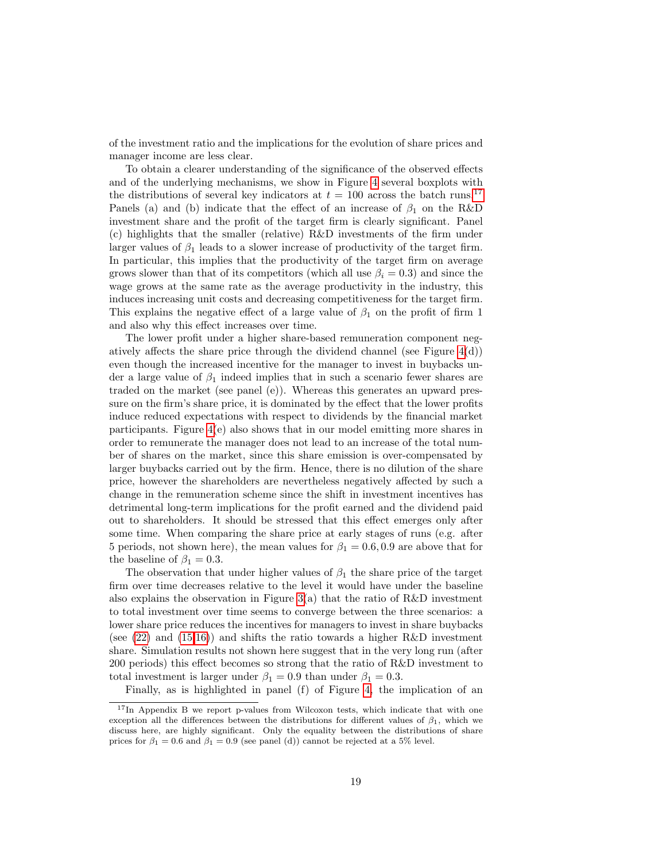of the investment ratio and the implications for the evolution of share prices and manager income are less clear.

To obtain a clearer understanding of the significance of the observed effects and of the underlying mechanisms, we show in Figure [4](#page-20-0) several boxplots with the distributions of several key indicators at  $t = 100$  across the batch runs.<sup>[17](#page-19-0)</sup> Panels (a) and (b) indicate that the effect of an increase of  $\beta_1$  on the R&D investment share and the profit of the target firm is clearly significant. Panel (c) highlights that the smaller (relative) R&D investments of the firm under larger values of  $\beta_1$  leads to a slower increase of productivity of the target firm. In particular, this implies that the productivity of the target firm on average grows slower than that of its competitors (which all use  $\beta_i = 0.3$ ) and since the wage grows at the same rate as the average productivity in the industry, this induces increasing unit costs and decreasing competitiveness for the target firm. This explains the negative effect of a large value of  $\beta_1$  on the profit of firm 1 and also why this effect increases over time.

The lower profit under a higher share-based remuneration component negatively affects the share price through the dividend channel (see Figure  $4(d)$ ) even though the increased incentive for the manager to invest in buybacks under a large value of  $\beta_1$  indeed implies that in such a scenario fewer shares are traded on the market (see panel (e)). Whereas this generates an upward pressure on the firm's share price, it is dominated by the effect that the lower profits induce reduced expectations with respect to dividends by the financial market participants. Figure [4\(](#page-20-0)e) also shows that in our model emitting more shares in order to remunerate the manager does not lead to an increase of the total number of shares on the market, since this share emission is over-compensated by larger buybacks carried out by the firm. Hence, there is no dilution of the share price, however the shareholders are nevertheless negatively affected by such a change in the remuneration scheme since the shift in investment incentives has detrimental long-term implications for the profit earned and the dividend paid out to shareholders. It should be stressed that this effect emerges only after some time. When comparing the share price at early stages of runs (e.g. after 5 periods, not shown here), the mean values for  $\beta_1 = 0.6, 0.9$  are above that for the baseline of  $\beta_1 = 0.3$ .

The observation that under higher values of  $\beta_1$  the share price of the target firm over time decreases relative to the level it would have under the baseline also explains the observation in Figure  $3(a)$  that the ratio of R&D investment to total investment over time seems to converge between the three scenarios: a lower share price reduces the incentives for managers to invest in share buybacks (see  $(22)$  and  $(15.16)$ ) and shifts the ratio towards a higher R&D investment share. Simulation results not shown here suggest that in the very long run (after 200 periods) this effect becomes so strong that the ratio of R&D investment to total investment is larger under  $\beta_1 = 0.9$  than under  $\beta_1 = 0.3$ .

Finally, as is highlighted in panel (f) of Figure [4,](#page-20-0) the implication of an

<span id="page-19-0"></span><sup>&</sup>lt;sup>17</sup>In Appendix B we report p-values from Wilcoxon tests, which indicate that with one exception all the differences between the distributions for different values of  $\beta_1$ , which we discuss here, are highly significant. Only the equality between the distributions of share prices for  $\beta_1 = 0.6$  and  $\beta_1 = 0.9$  (see panel (d)) cannot be rejected at a 5% level.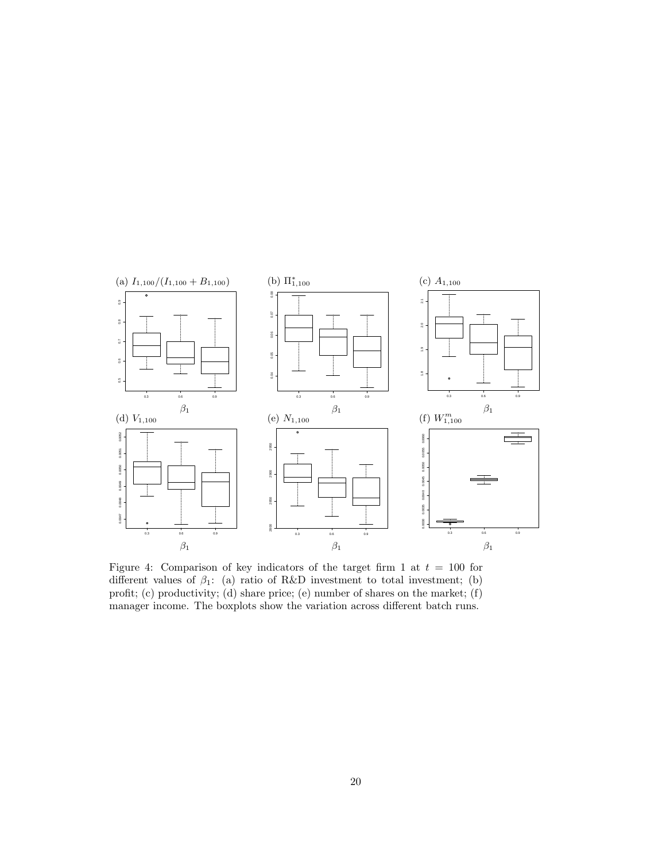

<span id="page-20-0"></span>Figure 4: Comparison of key indicators of the target firm 1 at  $t = 100$  for different values of  $\beta_1$ : (a) ratio of R&D investment to total investment; (b) profit; (c) productivity; (d) share price; (e) number of shares on the market; (f) manager income. The boxplots show the variation across different batch runs.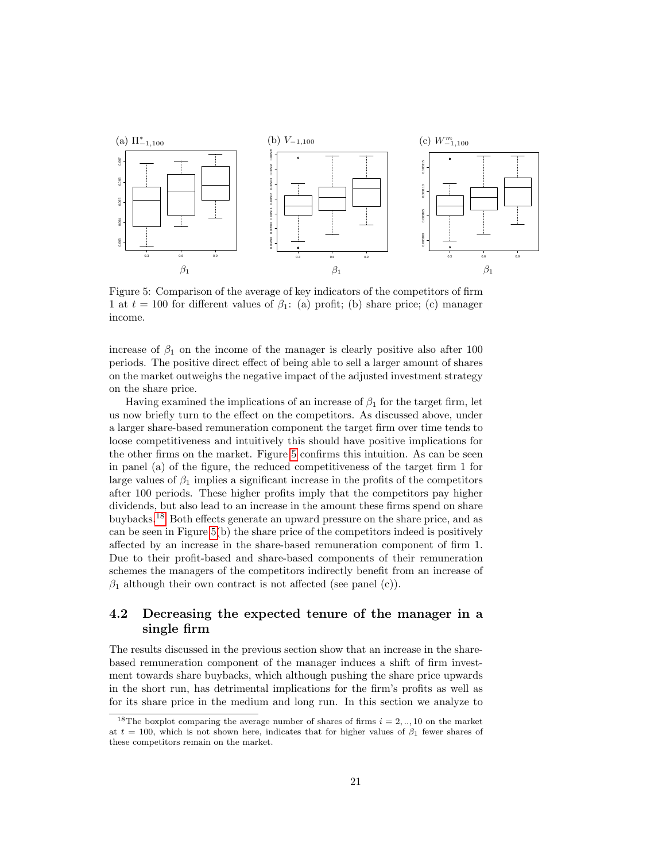

<span id="page-21-0"></span>Figure 5: Comparison of the average of key indicators of the competitors of firm 1 at  $t = 100$  for different values of  $\beta_1$ : (a) profit; (b) share price; (c) manager income.

increase of  $\beta_1$  on the income of the manager is clearly positive also after 100 periods. The positive direct effect of being able to sell a larger amount of shares on the market outweighs the negative impact of the adjusted investment strategy on the share price.

Having examined the implications of an increase of  $\beta_1$  for the target firm, let us now briefly turn to the effect on the competitors. As discussed above, under a larger share-based remuneration component the target firm over time tends to loose competitiveness and intuitively this should have positive implications for the other firms on the market. Figure [5](#page-21-0) confirms this intuition. As can be seen in panel (a) of the figure, the reduced competitiveness of the target firm 1 for large values of  $\beta_1$  implies a significant increase in the profits of the competitors after 100 periods. These higher profits imply that the competitors pay higher dividends, but also lead to an increase in the amount these firms spend on share buybacks.[18](#page-21-1) Both effects generate an upward pressure on the share price, and as can be seen in Figure [5\(](#page-21-0)b) the share price of the competitors indeed is positively affected by an increase in the share-based remuneration component of firm 1. Due to their profit-based and share-based components of their remuneration schemes the managers of the competitors indirectly benefit from an increase of  $\beta_1$  although their own contract is not affected (see panel (c)).

### 4.2 Decreasing the expected tenure of the manager in a single firm

The results discussed in the previous section show that an increase in the sharebased remuneration component of the manager induces a shift of firm investment towards share buybacks, which although pushing the share price upwards in the short run, has detrimental implications for the firm's profits as well as for its share price in the medium and long run. In this section we analyze to

<span id="page-21-1"></span><sup>&</sup>lt;sup>18</sup>The boxplot comparing the average number of shares of firms  $i = 2, \dots, 10$  on the market at  $t = 100$ , which is not shown here, indicates that for higher values of  $\beta_1$  fewer shares of these competitors remain on the market.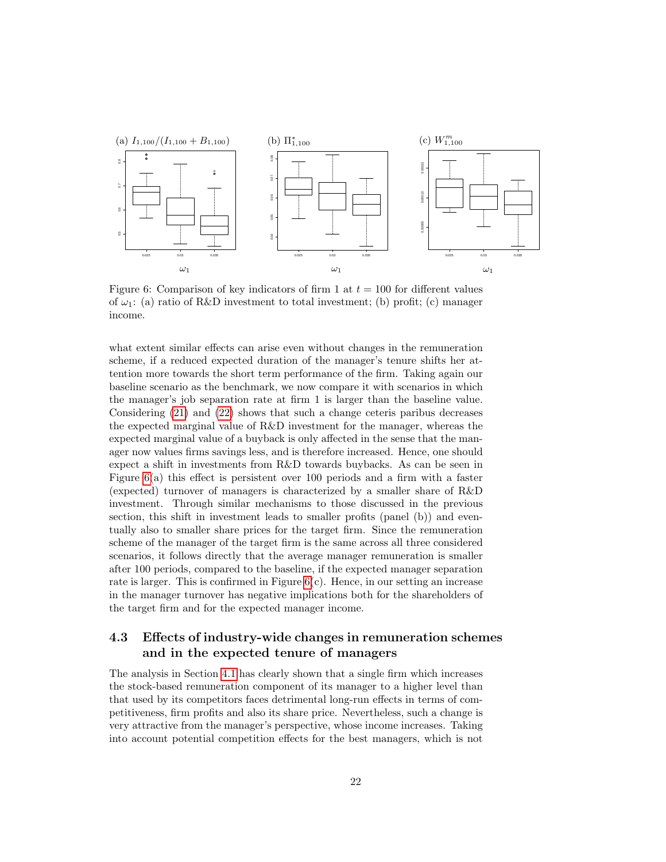

<span id="page-22-0"></span>Figure 6: Comparison of key indicators of firm 1 at  $t = 100$  for different values of  $\omega_1$ : (a) ratio of R&D investment to total investment; (b) profit; (c) manager income.

what extent similar effects can arise even without changes in the remuneration scheme, if a reduced expected duration of the manager's tenure shifts her attention more towards the short term performance of the firm. Taking again our baseline scenario as the benchmark, we now compare it with scenarios in which the manager's job separation rate at firm 1 is larger than the baseline value. Considering [\(21\)](#page-13-2) and [\(22\)](#page-13-1) shows that such a change ceteris paribus decreases the expected marginal value of R&D investment for the manager, whereas the expected marginal value of a buyback is only affected in the sense that the manager now values firms savings less, and is therefore increased. Hence, one should expect a shift in investments from R&D towards buybacks. As can be seen in Figure [6\(](#page-22-0)a) this effect is persistent over 100 periods and a firm with a faster (expected) turnover of managers is characterized by a smaller share of R&D investment. Through similar mechanisms to those discussed in the previous section, this shift in investment leads to smaller profits (panel (b)) and eventually also to smaller share prices for the target firm. Since the remuneration scheme of the manager of the target firm is the same across all three considered scenarios, it follows directly that the average manager remuneration is smaller after 100 periods, compared to the baseline, if the expected manager separation rate is larger. This is confirmed in Figure  $6(c)$ . Hence, in our setting an increase in the manager turnover has negative implications both for the shareholders of the target firm and for the expected manager income.

#### <span id="page-22-1"></span>4.3 Effects of industry-wide changes in remuneration schemes and in the expected tenure of managers

The analysis in Section [4.1](#page-17-2) has clearly shown that a single firm which increases the stock-based remuneration component of its manager to a higher level than that used by its competitors faces detrimental long-run effects in terms of competitiveness, firm profits and also its share price. Nevertheless, such a change is very attractive from the manager's perspective, whose income increases. Taking into account potential competition effects for the best managers, which is not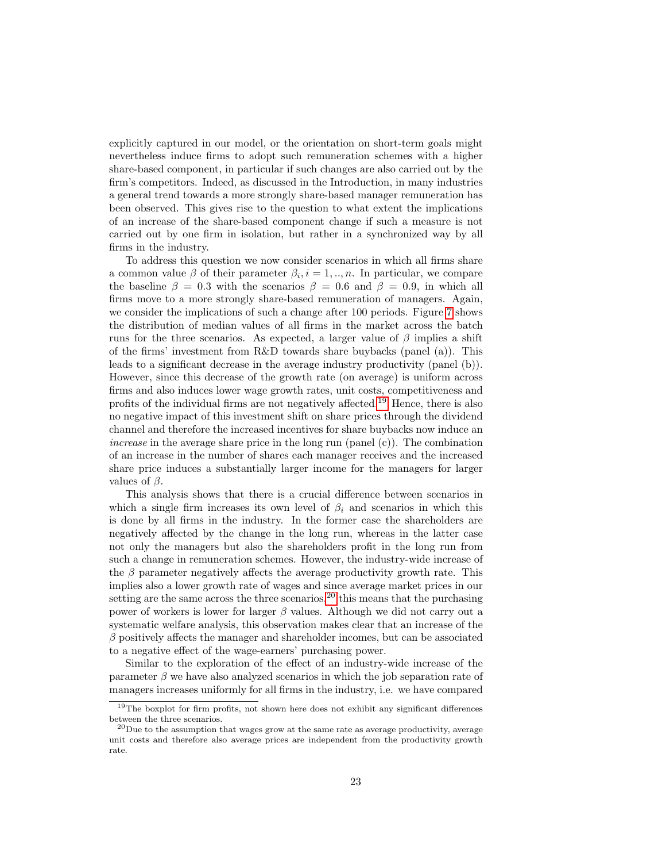explicitly captured in our model, or the orientation on short-term goals might nevertheless induce firms to adopt such remuneration schemes with a higher share-based component, in particular if such changes are also carried out by the firm's competitors. Indeed, as discussed in the Introduction, in many industries a general trend towards a more strongly share-based manager remuneration has been observed. This gives rise to the question to what extent the implications of an increase of the share-based component change if such a measure is not carried out by one firm in isolation, but rather in a synchronized way by all firms in the industry.

To address this question we now consider scenarios in which all firms share a common value  $\beta$  of their parameter  $\beta_i$ ,  $i = 1, ..., n$ . In particular, we compare the baseline  $\beta = 0.3$  with the scenarios  $\beta = 0.6$  and  $\beta = 0.9$ , in which all firms move to a more strongly share-based remuneration of managers. Again, we consider the implications of such a change after 100 periods. Figure [7](#page-24-0) shows the distribution of median values of all firms in the market across the batch runs for the three scenarios. As expected, a larger value of  $\beta$  implies a shift of the firms' investment from R&D towards share buybacks (panel (a)). This leads to a significant decrease in the average industry productivity (panel (b)). However, since this decrease of the growth rate (on average) is uniform across firms and also induces lower wage growth rates, unit costs, competitiveness and profits of the individual firms are not negatively affected.[19](#page-23-0) Hence, there is also no negative impact of this investment shift on share prices through the dividend channel and therefore the increased incentives for share buybacks now induce an increase in the average share price in the long run (panel  $(c)$ ). The combination of an increase in the number of shares each manager receives and the increased share price induces a substantially larger income for the managers for larger values of  $\beta$ .

This analysis shows that there is a crucial difference between scenarios in which a single firm increases its own level of  $\beta_i$  and scenarios in which this is done by all firms in the industry. In the former case the shareholders are negatively affected by the change in the long run, whereas in the latter case not only the managers but also the shareholders profit in the long run from such a change in remuneration schemes. However, the industry-wide increase of the  $\beta$  parameter negatively affects the average productivity growth rate. This implies also a lower growth rate of wages and since average market prices in our setting are the same across the three scenarios,  $2<sup>0</sup>$  this means that the purchasing power of workers is lower for larger  $\beta$  values. Although we did not carry out a systematic welfare analysis, this observation makes clear that an increase of the  $\beta$  positively affects the manager and shareholder incomes, but can be associated to a negative effect of the wage-earners' purchasing power.

Similar to the exploration of the effect of an industry-wide increase of the parameter  $\beta$  we have also analyzed scenarios in which the job separation rate of managers increases uniformly for all firms in the industry, i.e. we have compared

<span id="page-23-0"></span><sup>&</sup>lt;sup>19</sup>The boxplot for firm profits, not shown here does not exhibit any significant differences between the three scenarios.

<span id="page-23-1"></span> $^{20}\rm{Due}$  to the assumption that wages grow at the same rate as average productivity, average unit costs and therefore also average prices are independent from the productivity growth rate.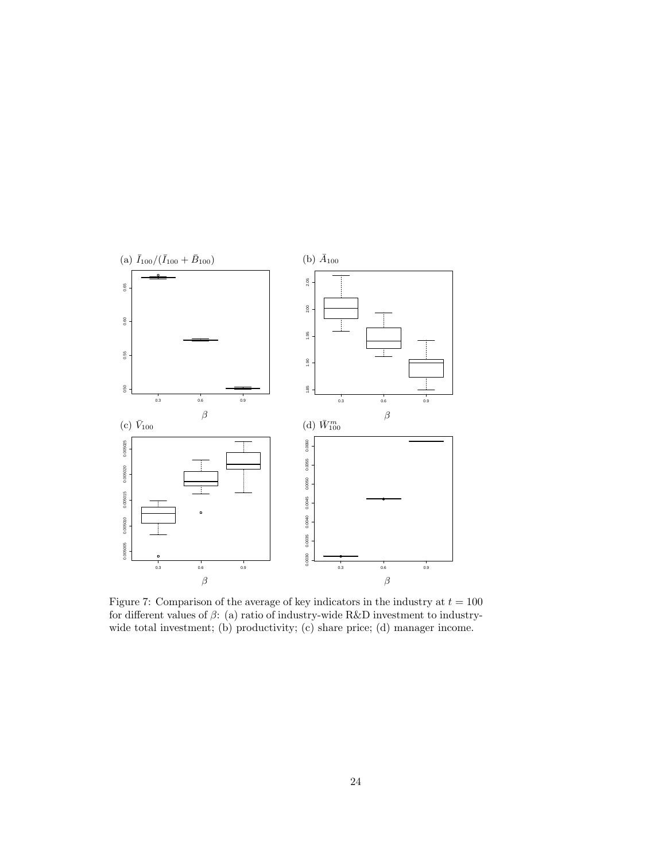

<span id="page-24-0"></span>Figure 7: Comparison of the average of key indicators in the industry at  $t = 100$ for different values of  $\beta$ : (a) ratio of industry-wide R&D investment to industrywide total investment; (b) productivity; (c) share price; (d) manager income.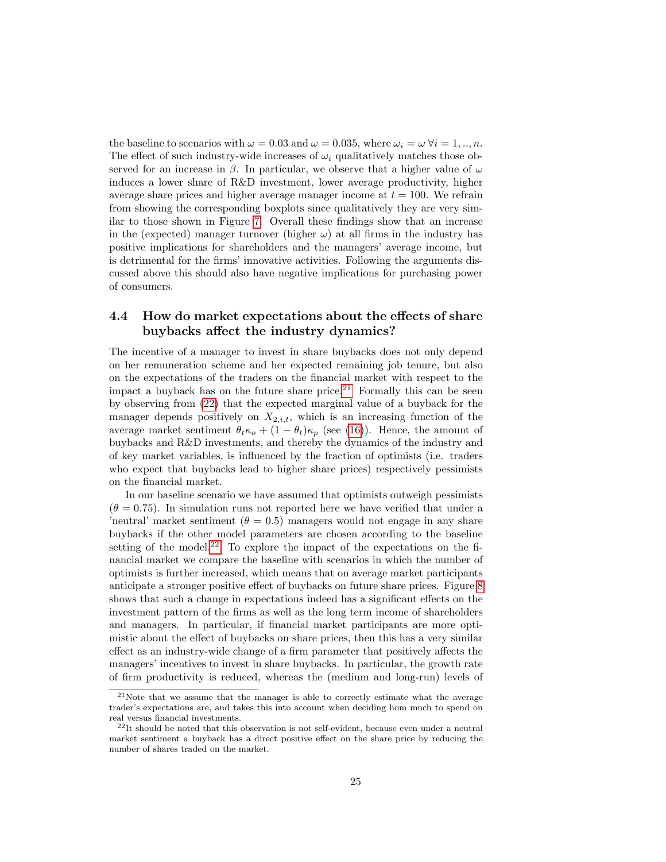the baseline to scenarios with  $\omega = 0.03$  and  $\omega = 0.035$ , where  $\omega_i = \omega \,\forall i = 1, ..., n$ . The effect of such industry-wide increases of  $\omega_i$  qualitatively matches those observed for an increase in  $\beta$ . In particular, we observe that a higher value of  $\omega$ induces a lower share of R&D investment, lower average productivity, higher average share prices and higher average manager income at  $t = 100$ . We refrain from showing the corresponding boxplots since qualitatively they are very similar to those shown in Figure [7.](#page-24-0) Overall these findings show that an increase in the (expected) manager turnover (higher  $\omega$ ) at all firms in the industry has positive implications for shareholders and the managers' average income, but is detrimental for the firms' innovative activities. Following the arguments discussed above this should also have negative implications for purchasing power of consumers.

#### 4.4 How do market expectations about the effects of share buybacks affect the industry dynamics?

The incentive of a manager to invest in share buybacks does not only depend on her remuneration scheme and her expected remaining job tenure, but also on the expectations of the traders on the financial market with respect to the impact a buyback has on the future share price.<sup>[21](#page-25-0)</sup> Formally this can be seen by observing from [\(22\)](#page-13-1) that the expected marginal value of a buyback for the manager depends positively on  $X_{2,i,t}$ , which is an increasing function of the average market sentiment  $\theta_t \kappa_o + (1 - \theta_t) \kappa_p$  (see [\(16\)](#page-11-4)). Hence, the amount of buybacks and R&D investments, and thereby the dynamics of the industry and of key market variables, is influenced by the fraction of optimists (i.e. traders who expect that buybacks lead to higher share prices) respectively pessimists on the financial market.

In our baseline scenario we have assumed that optimists outweigh pessimists  $(\theta = 0.75)$ . In simulation runs not reported here we have verified that under a 'neutral' market sentiment ( $\theta = 0.5$ ) managers would not engage in any share buybacks if the other model parameters are chosen according to the baseline setting of the model.<sup>[22](#page-25-1)</sup> To explore the impact of the expectations on the financial market we compare the baseline with scenarios in which the number of optimists is further increased, which means that on average market participants anticipate a stronger positive effect of buybacks on future share prices. Figure [8](#page-26-0) shows that such a change in expectations indeed has a significant effects on the investment pattern of the firms as well as the long term income of shareholders and managers. In particular, if financial market participants are more optimistic about the effect of buybacks on share prices, then this has a very similar effect as an industry-wide change of a firm parameter that positively affects the managers' incentives to invest in share buybacks. In particular, the growth rate of firm productivity is reduced, whereas the (medium and long-run) levels of

<span id="page-25-0"></span><sup>21</sup>Note that we assume that the manager is able to correctly estimate what the average trader's expectations are, and takes this into account when deciding hom much to spend on real versus financial investments.

<span id="page-25-1"></span> $22$ It should be noted that this observation is not self-evident, because even under a neutral market sentiment a buyback has a direct positive effect on the share price by reducing the number of shares traded on the market.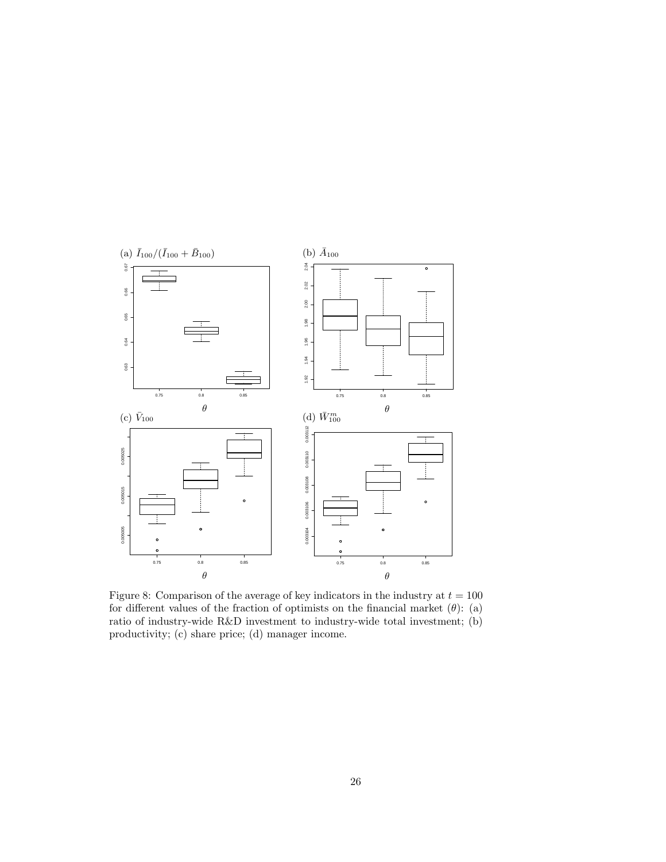

<span id="page-26-0"></span>Figure 8: Comparison of the average of key indicators in the industry at  $t = 100$ for different values of the fraction of optimists on the financial market  $(\theta)$ : (a) ratio of industry-wide R&D investment to industry-wide total investment; (b) productivity; (c) share price; (d) manager income.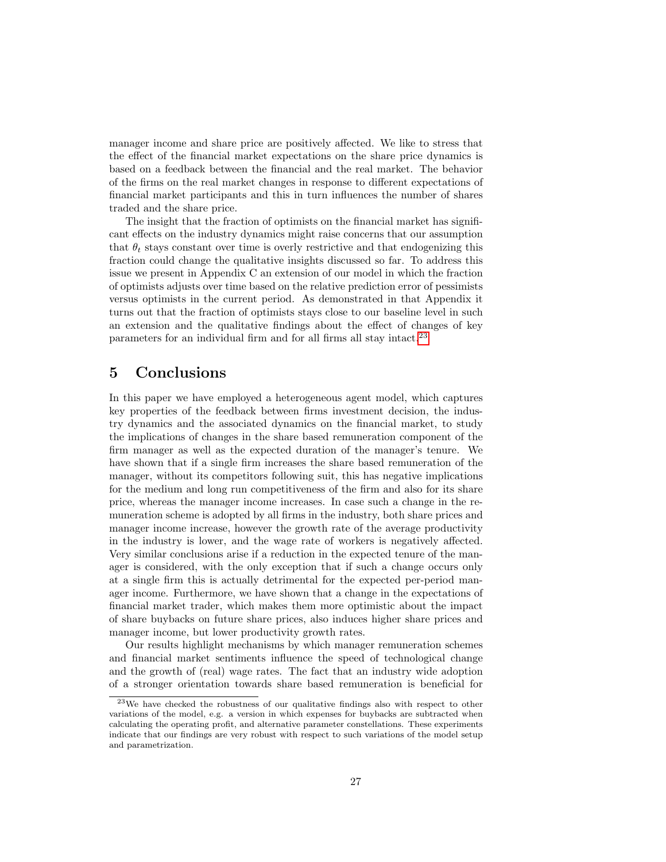manager income and share price are positively affected. We like to stress that the effect of the financial market expectations on the share price dynamics is based on a feedback between the financial and the real market. The behavior of the firms on the real market changes in response to different expectations of financial market participants and this in turn influences the number of shares traded and the share price.

The insight that the fraction of optimists on the financial market has significant effects on the industry dynamics might raise concerns that our assumption that  $\theta_t$  stays constant over time is overly restrictive and that endogenizing this fraction could change the qualitative insights discussed so far. To address this issue we present in Appendix C an extension of our model in which the fraction of optimists adjusts over time based on the relative prediction error of pessimists versus optimists in the current period. As demonstrated in that Appendix it turns out that the fraction of optimists stays close to our baseline level in such an extension and the qualitative findings about the effect of changes of key parameters for an individual firm and for all firms all stay intact.[23](#page-27-1)

## <span id="page-27-0"></span>5 Conclusions

In this paper we have employed a heterogeneous agent model, which captures key properties of the feedback between firms investment decision, the industry dynamics and the associated dynamics on the financial market, to study the implications of changes in the share based remuneration component of the firm manager as well as the expected duration of the manager's tenure. We have shown that if a single firm increases the share based remuneration of the manager, without its competitors following suit, this has negative implications for the medium and long run competitiveness of the firm and also for its share price, whereas the manager income increases. In case such a change in the remuneration scheme is adopted by all firms in the industry, both share prices and manager income increase, however the growth rate of the average productivity in the industry is lower, and the wage rate of workers is negatively affected. Very similar conclusions arise if a reduction in the expected tenure of the manager is considered, with the only exception that if such a change occurs only at a single firm this is actually detrimental for the expected per-period manager income. Furthermore, we have shown that a change in the expectations of financial market trader, which makes them more optimistic about the impact of share buybacks on future share prices, also induces higher share prices and manager income, but lower productivity growth rates.

Our results highlight mechanisms by which manager remuneration schemes and financial market sentiments influence the speed of technological change and the growth of (real) wage rates. The fact that an industry wide adoption of a stronger orientation towards share based remuneration is beneficial for

<span id="page-27-1"></span><sup>23</sup>We have checked the robustness of our qualitative findings also with respect to other variations of the model, e.g. a version in which expenses for buybacks are subtracted when calculating the operating profit, and alternative parameter constellations. These experiments indicate that our findings are very robust with respect to such variations of the model setup and parametrization.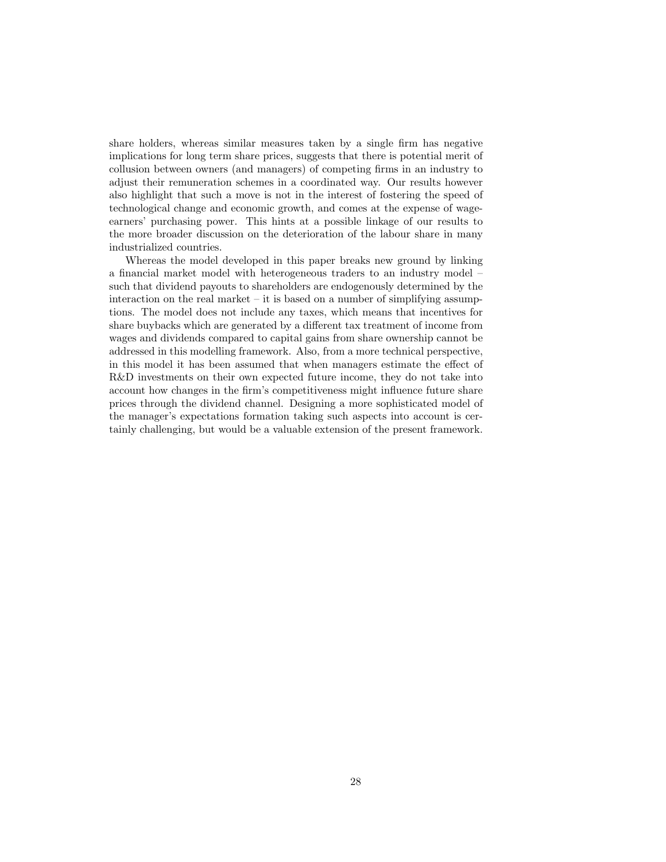share holders, whereas similar measures taken by a single firm has negative implications for long term share prices, suggests that there is potential merit of collusion between owners (and managers) of competing firms in an industry to adjust their remuneration schemes in a coordinated way. Our results however also highlight that such a move is not in the interest of fostering the speed of technological change and economic growth, and comes at the expense of wageearners' purchasing power. This hints at a possible linkage of our results to the more broader discussion on the deterioration of the labour share in many industrialized countries.

Whereas the model developed in this paper breaks new ground by linking a financial market model with heterogeneous traders to an industry model – such that dividend payouts to shareholders are endogenously determined by the interaction on the real market – it is based on a number of simplifying assumptions. The model does not include any taxes, which means that incentives for share buybacks which are generated by a different tax treatment of income from wages and dividends compared to capital gains from share ownership cannot be addressed in this modelling framework. Also, from a more technical perspective, in this model it has been assumed that when managers estimate the effect of R&D investments on their own expected future income, they do not take into account how changes in the firm's competitiveness might influence future share prices through the dividend channel. Designing a more sophisticated model of the manager's expectations formation taking such aspects into account is certainly challenging, but would be a valuable extension of the present framework.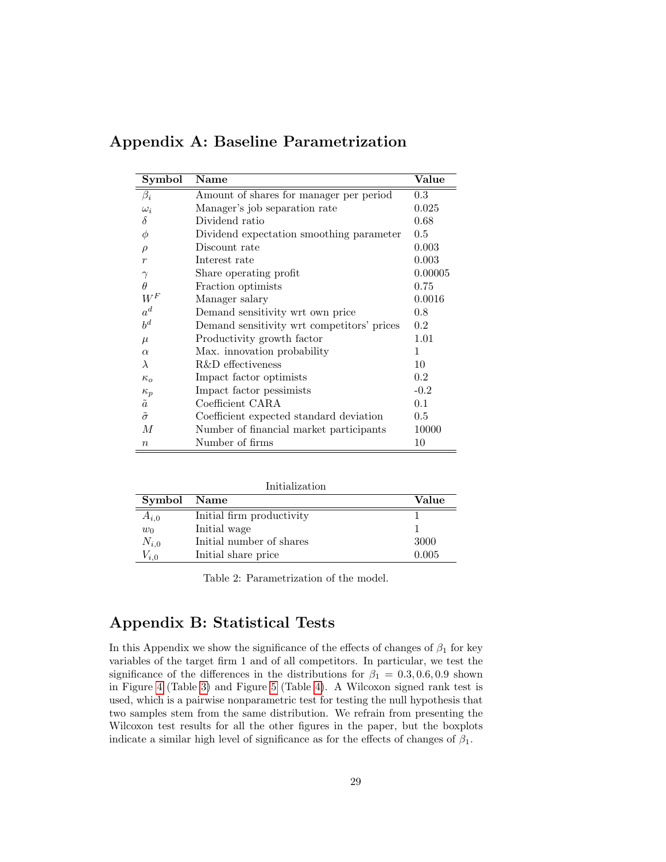| Symbol            | <b>Name</b>                                | Value   |
|-------------------|--------------------------------------------|---------|
| $\beta_i$         | Amount of shares for manager per period    | 0.3     |
| $\omega_i$        | Manager's job separation rate              | 0.025   |
| $\delta$          | Dividend ratio                             | 0.68    |
| Φ                 | Dividend expectation smoothing parameter   | 0.5     |
| $\rho$            | Discount rate                              | 0.003   |
| $\boldsymbol{r}$  | Interest rate                              | 0.003   |
| $\gamma$          | Share operating profit                     | 0.00005 |
| $\theta$          | Fraction optimists                         | 0.75    |
| $W^F$             | Manager salary                             | 0.0016  |
| $a^d$             | Demand sensitivity wrt own price           | 0.8     |
| $b^d$             | Demand sensitivity wrt competitors' prices | 0.2     |
| $\mu$             | Productivity growth factor                 | 1.01    |
| $\alpha$          | Max. innovation probability                | 1       |
| λ                 | <b>R&amp;D</b> effectiveness               | 10      |
| $\kappa_{\alpha}$ | Impact factor optimists                    | 0.2     |
| $\kappa_p$        | Impact factor pessimists                   | $-0.2$  |
| $\tilde{a}$       | Coefficient CARA                           | 0.1     |
| $\tilde{\sigma}$  | Coefficient expected standard deviation    | 0.5     |
| M                 | Number of financial market participants    | 10000   |
| $\boldsymbol{n}$  | Number of firms                            | 10      |

Appendix A: Baseline Parametrization

| Initialization |                           |       |  |
|----------------|---------------------------|-------|--|
| Symbol Name    |                           | Value |  |
| $A_{i,0}$      | Initial firm productivity |       |  |
| $w_0$          | Initial wage              |       |  |
| $N_{i,0}$      | Initial number of shares  | 3000  |  |
| $V_{i,0}$      | Initial share price       | 0.005 |  |

<span id="page-29-0"></span>Table 2: Parametrization of the model.

## Appendix B: Statistical Tests

In this Appendix we show the significance of the effects of changes of  $\beta_1$  for key variables of the target firm 1 and of all competitors. In particular, we test the significance of the differences in the distributions for  $\beta_1 = 0.3, 0.6, 0.9$  shown in Figure [4](#page-20-0) (Table [3\)](#page-30-0) and Figure [5](#page-21-0) (Table [4\)](#page-31-0). A Wilcoxon signed rank test is used, which is a pairwise nonparametric test for testing the null hypothesis that two samples stem from the same distribution. We refrain from presenting the Wilcoxon test results for all the other figures in the paper, but the boxplots indicate a similar high level of significance as for the effects of changes of  $\beta_1$ .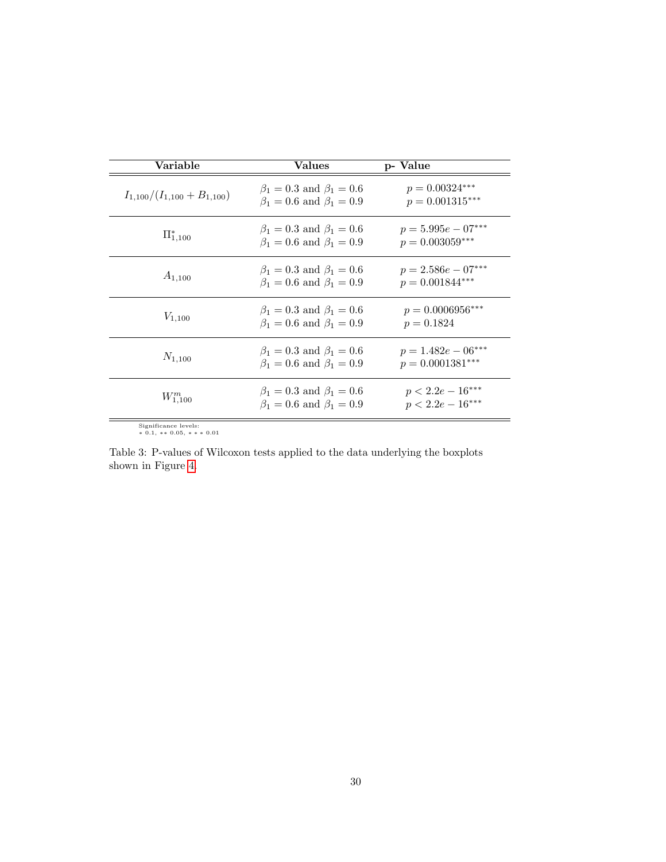| Variable                          | Values                                                                     | p- Value                                   |
|-----------------------------------|----------------------------------------------------------------------------|--------------------------------------------|
| $I_{1,100}/(I_{1,100}+B_{1,100})$ | $\beta_1 = 0.3$ and $\beta_1 = 0.6$<br>$\beta_1 = 0.6$ and $\beta_1 = 0.9$ | $p = 0.00324***$<br>$p = 0.001315***$      |
| $\Pi_{1,100}^{*}$                 | $\beta_1 = 0.3$ and $\beta_1 = 0.6$<br>$\beta_1 = 0.6$ and $\beta_1 = 0.9$ | $p = 5.995e - 07***$<br>$p = 0.003059***$  |
| $A_{1,100}$                       | $\beta_1 = 0.3$ and $\beta_1 = 0.6$<br>$\beta_1 = 0.6$ and $\beta_1 = 0.9$ | $p = 2.586e - 07***$<br>$p = 0.001844***$  |
| $V_{1,100}$                       | $\beta_1 = 0.3$ and $\beta_1 = 0.6$<br>$\beta_1 = 0.6$ and $\beta_1 = 0.9$ | $p = 0.0006956***$<br>$p = 0.1824$         |
| $N_{1,100}$                       | $\beta_1 = 0.3$ and $\beta_1 = 0.6$<br>$\beta_1 = 0.6$ and $\beta_1 = 0.9$ | $p = 1.482e - 06***$<br>$p = 0.0001381***$ |
| $W_{1,100}^{m}$                   | $\beta_1 = 0.3$ and $\beta_1 = 0.6$<br>$\beta_1 = 0.6$ and $\beta_1 = 0.9$ | $p < 2.2e - 16***$<br>$p < 2.2e - 16***$   |
|                                   |                                                                            |                                            |

<span id="page-30-0"></span>Significance levels: ∗ 0.1, ∗∗ 0.05, ∗ ∗ ∗ 0.01

Table 3: P-values of Wilcoxon tests applied to the data underlying the boxplots shown in Figure [4.](#page-20-0)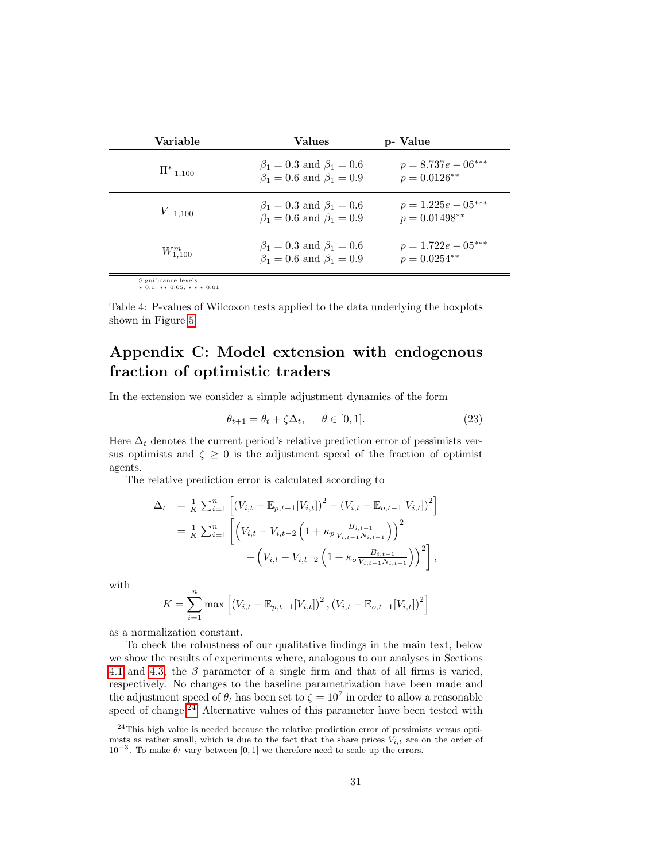| Variable         | Values                                                                     | p- Value                                |
|------------------|----------------------------------------------------------------------------|-----------------------------------------|
| $\Pi_{-1.100}^*$ | $\beta_1 = 0.3$ and $\beta_1 = 0.6$<br>$\beta_1 = 0.6$ and $\beta_1 = 0.9$ | $p = 8.737e - 06***$<br>$p = 0.0126**$  |
| $V_{-1,100}$     | $\beta_1 = 0.3$ and $\beta_1 = 0.6$<br>$\beta_1 = 0.6$ and $\beta_1 = 0.9$ | $p = 1.225e - 05***$<br>$p = 0.01498**$ |
| $W_{1.100}^{m}$  | $\beta_1 = 0.3$ and $\beta_1 = 0.6$<br>$\beta_1 = 0.6$ and $\beta_1 = 0.9$ | $p = 1.722e - 05***$<br>$p = 0.0254**$  |

<span id="page-31-0"></span>Significance levels: ∗ 0.1, ∗∗ 0.05, ∗ ∗ ∗ 0.01

Table 4: P-values of Wilcoxon tests applied to the data underlying the boxplots shown in Figure [5.](#page-21-0)

## Appendix C: Model extension with endogenous fraction of optimistic traders

In the extension we consider a simple adjustment dynamics of the form

$$
\theta_{t+1} = \theta_t + \zeta \Delta_t, \quad \theta \in [0, 1]. \tag{23}
$$

Here  $\Delta_t$  denotes the current period's relative prediction error of pessimists versus optimists and  $\zeta \geq 0$  is the adjustment speed of the fraction of optimist agents.

The relative prediction error is calculated according to

$$
\Delta_t = \frac{1}{K} \sum_{i=1}^n \left[ (V_{i,t} - \mathbb{E}_{p,t-1}[V_{i,t}])^2 - (V_{i,t} - \mathbb{E}_{o,t-1}[V_{i,t}])^2 \right]
$$
  

$$
= \frac{1}{K} \sum_{i=1}^n \left[ \left( V_{i,t} - V_{i,t-2} \left( 1 + \kappa_p \frac{B_{i,t-1}}{V_{i,t-1} N_{i,t-1}} \right) \right)^2 - \left( V_{i,t} - V_{i,t-2} \left( 1 + \kappa_o \frac{B_{i,t-1}}{V_{i,t-1} N_{i,t-1}} \right) \right)^2 \right],
$$

with

$$
K = \sum_{i=1}^{n} \max \left[ \left( V_{i,t} - \mathbb{E}_{p,t-1} [V_{i,t}] \right)^2, \left( V_{i,t} - \mathbb{E}_{o,t-1} [V_{i,t}] \right)^2 \right]
$$

as a normalization constant.

To check the robustness of our qualitative findings in the main text, below we show the results of experiments where, analogous to our analyses in Sections [4.1](#page-17-2) and [4.3,](#page-22-1) the  $\beta$  parameter of a single firm and that of all firms is varied, respectively. No changes to the baseline parametrization have been made and the adjustment speed of  $\theta_t$  has been set to  $\zeta = 10^7$  in order to allow a reasonable speed of change.<sup>[24](#page-31-1)</sup> Alternative values of this parameter have been tested with

<span id="page-31-1"></span><sup>24</sup>This high value is needed because the relative prediction error of pessimists versus optimists as rather small, which is due to the fact that the share prices  $V_{i,t}$  are on the order of 10<sup>-3</sup>. To make  $\theta_t$  vary between [0, 1] we therefore need to scale up the errors.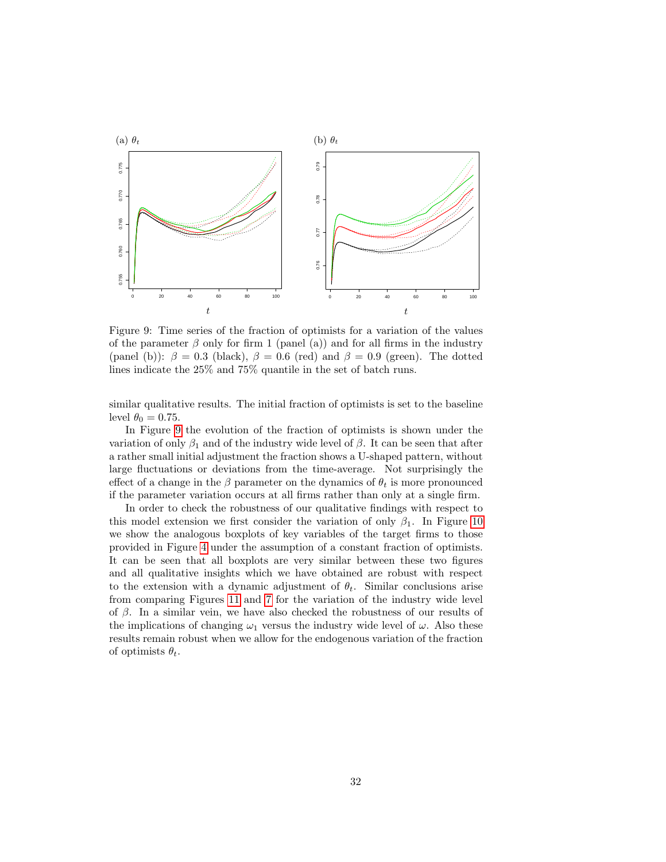

<span id="page-32-0"></span>Figure 9: Time series of the fraction of optimists for a variation of the values of the parameter  $\beta$  only for firm 1 (panel (a)) and for all firms in the industry (panel (b)):  $\beta = 0.3$  (black),  $\beta = 0.6$  (red) and  $\beta = 0.9$  (green). The dotted lines indicate the 25% and 75% quantile in the set of batch runs.

similar qualitative results. The initial fraction of optimists is set to the baseline level  $\theta_0 = 0.75$ .

In Figure [9](#page-32-0) the evolution of the fraction of optimists is shown under the variation of only  $\beta_1$  and of the industry wide level of  $\beta$ . It can be seen that after a rather small initial adjustment the fraction shows a U-shaped pattern, without large fluctuations or deviations from the time-average. Not surprisingly the effect of a change in the  $\beta$  parameter on the dynamics of  $\theta_t$  is more pronounced if the parameter variation occurs at all firms rather than only at a single firm.

In order to check the robustness of our qualitative findings with respect to this model extension we first consider the variation of only  $\beta_1$ . In Figure [10](#page-33-0) we show the analogous boxplots of key variables of the target firms to those provided in Figure [4](#page-20-0) under the assumption of a constant fraction of optimists. It can be seen that all boxplots are very similar between these two figures and all qualitative insights which we have obtained are robust with respect to the extension with a dynamic adjustment of  $\theta_t$ . Similar conclusions arise from comparing Figures [11](#page-34-0) and [7](#page-24-0) for the variation of the industry wide level of  $\beta$ . In a similar vein, we have also checked the robustness of our results of the implications of changing  $\omega_1$  versus the industry wide level of  $\omega$ . Also these results remain robust when we allow for the endogenous variation of the fraction of optimists  $\theta_t$ .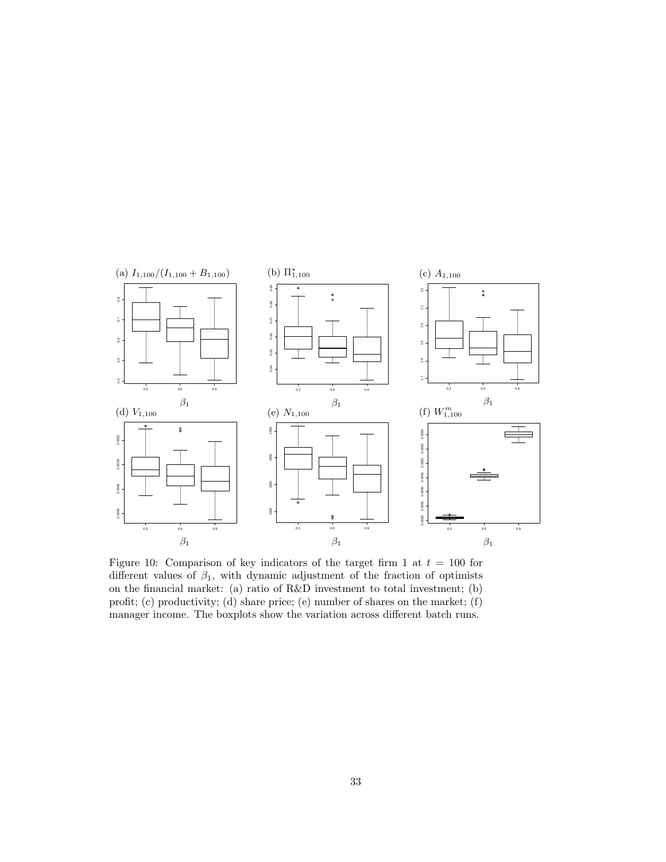

<span id="page-33-0"></span>Figure 10: Comparison of key indicators of the target firm 1 at  $t = 100$  for different values of  $\beta_1$ , with dynamic adjustment of the fraction of optimists on the financial market: (a) ratio of R&D investment to total investment; (b) profit; (c) productivity; (d) share price; (e) number of shares on the market; (f) manager income. The boxplots show the variation across different batch runs.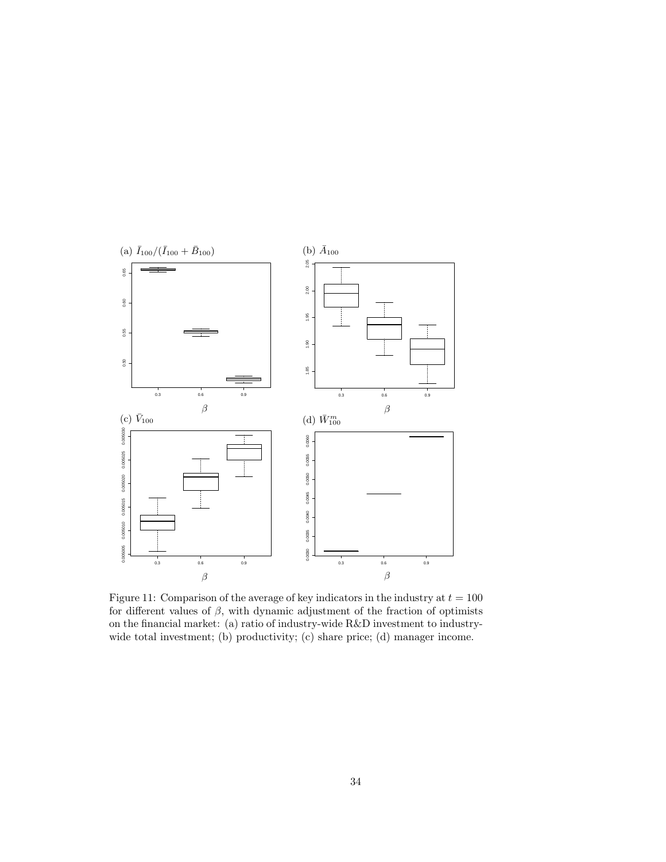

<span id="page-34-0"></span>Figure 11: Comparison of the average of key indicators in the industry at  $t = 100$ for different values of  $\beta$ , with dynamic adjustment of the fraction of optimists on the financial market: (a) ratio of industry-wide R&D investment to industrywide total investment; (b) productivity; (c) share price; (d) manager income.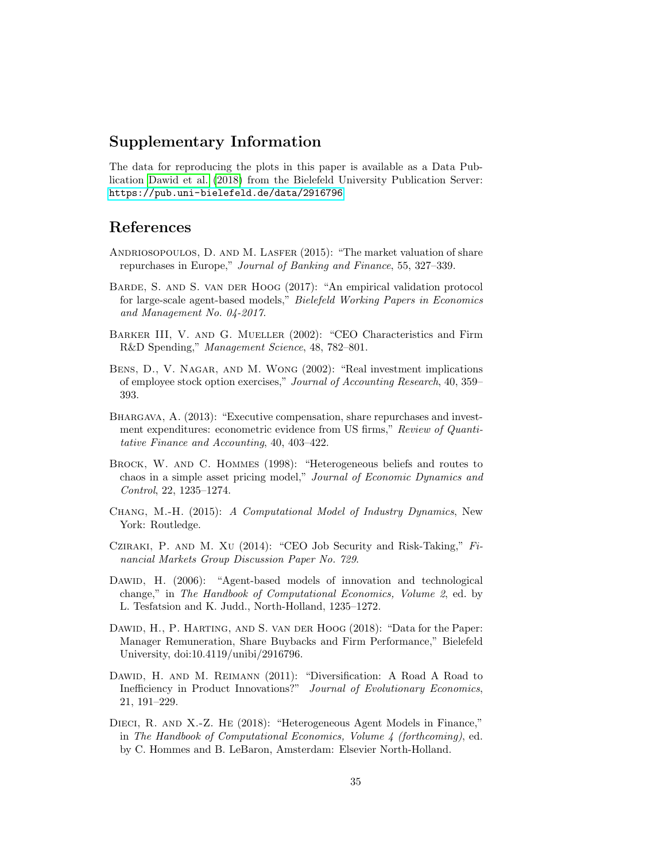## Supplementary Information

The data for reproducing the plots in this paper is available as a Data Publication [Dawid et al.](#page-35-11) [\(2018\)](#page-35-11) from the Bielefeld University Publication Server: <https://pub.uni-bielefeld.de/data/2916796>

## References

- <span id="page-35-0"></span>ANDRIOSOPOULOS, D. AND M. LASFER (2015): "The market valuation of share repurchases in Europe," Journal of Banking and Finance, 55, 327–339.
- <span id="page-35-10"></span>Barde, S. and S. van der Hoog (2017): "An empirical validation protocol for large-scale agent-based models," Bielefeld Working Papers in Economics and Management No. 04-2017.
- <span id="page-35-5"></span>BARKER III, V. AND G. MUELLER (2002): "CEO Characteristics and Firm R&D Spending," Management Science, 48, 782–801.
- <span id="page-35-1"></span>BENS, D., V. NAGAR, AND M. WONG (2002): "Real investment implications of employee stock option exercises," Journal of Accounting Research, 40, 359– 393.
- <span id="page-35-2"></span>Bhargava, A. (2013): "Executive compensation, share repurchases and investment expenditures: econometric evidence from US firms," Review of Quantitative Finance and Accounting, 40, 403–422.
- <span id="page-35-9"></span>BROCK, W. AND C. HOMMES (1998): "Heterogeneous beliefs and routes to chaos in a simple asset pricing model," Journal of Economic Dynamics and Control, 22, 1235–1274.
- <span id="page-35-8"></span>Chang, M.-H. (2015): A Computational Model of Industry Dynamics, New York: Routledge.
- <span id="page-35-4"></span>Cziraki, P. and M. Xu (2014): "CEO Job Security and Risk-Taking," Financial Markets Group Discussion Paper No. 729.
- <span id="page-35-6"></span>DAWID, H. (2006): "Agent-based models of innovation and technological change," in The Handbook of Computational Economics, Volume 2, ed. by L. Tesfatsion and K. Judd., North-Holland, 1235–1272.
- <span id="page-35-11"></span>Dawid, H., P. Harting, and S. van der Hoog (2018): "Data for the Paper: Manager Remuneration, Share Buybacks and Firm Performance," Bielefeld University, doi:10.4119/unibi/2916796.
- <span id="page-35-7"></span>Dawid, H. and M. Reimann (2011): "Diversification: A Road A Road to Inefficiency in Product Innovations?" Journal of Evolutionary Economics, 21, 191–229.
- <span id="page-35-3"></span>DIECI, R. AND X.-Z. HE (2018): "Heterogeneous Agent Models in Finance," in The Handbook of Computational Economics, Volume 4 (forthcoming), ed. by C. Hommes and B. LeBaron, Amsterdam: Elsevier North-Holland.